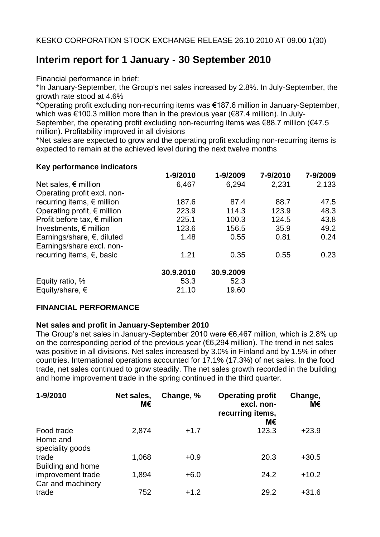# **Interim report for 1 January - 30 September 2010**

Financial performance in brief:

\*In January-September, the Group's net sales increased by 2.8%. In July-September, the growth rate stood at 4.6%

\*Operating profit excluding non-recurring items was €187.6 million in January-September, which was €100.3 million more than in the previous year (€87.4 million). In July-

September, the operating profit excluding non-recurring items was  $\epsilon$ 88.7 million ( $\epsilon$ 47.5 million). Profitability improved in all divisions

\*Net sales are expected to grow and the operating profit excluding non-recurring items is expected to remain at the achieved level during the next twelve months

#### **Key performance indicators**

|                                       | 1-9/2010  | 1-9/2009  | 7-9/2010 | 7-9/2009 |
|---------------------------------------|-----------|-----------|----------|----------|
| Net sales, $\epsilon$ million         | 6,467     | 6,294     | 2,231    | 2,133    |
| Operating profit excl. non-           |           |           |          |          |
| recurring items, $\epsilon$ million   | 187.6     | 87.4      | 88.7     | 47.5     |
| Operating profit, $\epsilon$ million  | 223.9     | 114.3     | 123.9    | 48.3     |
| Profit before tax, $\epsilon$ million | 225.1     | 100.3     | 124.5    | 43.8     |
| Investments, $\epsilon$ million       | 123.6     | 156.5     | 35.9     | 49.2     |
| Earnings/share, $\epsilon$ , diluted  | 1.48      | 0.55      | 0.81     | 0.24     |
| Earnings/share excl. non-             |           |           |          |          |
| recurring items, $\epsilon$ , basic   | 1.21      | 0.35      | 0.55     | 0.23     |
|                                       | 30.9.2010 | 30.9.2009 |          |          |
| Equity ratio, %                       | 53.3      | 52.3      |          |          |
| Equity/share, $\epsilon$              | 21.10     | 19.60     |          |          |

### **FINANCIAL PERFORMANCE**

### **Net sales and profit in January-September 2010**

The Group's net sales in January-September 2010 were €6,467 million, which is 2.8% up on the corresponding period of the previous year (€6,294 million). The trend in net sales was positive in all divisions. Net sales increased by 3.0% in Finland and by 1.5% in other countries. International operations accounted for 17.1% (17.3%) of net sales. In the food trade, net sales continued to grow steadily. The net sales growth recorded in the building and home improvement trade in the spring continued in the third quarter.

| 1-9/2010                                   | Net sales,<br>М€ | Change, % | <b>Operating profit</b><br>excl. non-<br>recurring items,<br>М€ | Change,<br>М€ |
|--------------------------------------------|------------------|-----------|-----------------------------------------------------------------|---------------|
| Food trade<br>Home and<br>speciality goods | 2,874            | $+1.7$    | 123.3                                                           | $+23.9$       |
| trade<br>Building and home                 | 1,068            | $+0.9$    | 20.3                                                            | $+30.5$       |
| improvement trade<br>Car and machinery     | 1,894            | $+6.0$    | 24.2                                                            | $+10.2$       |
| trade                                      | 752              | $+1.2$    | 29.2                                                            | $+31.6$       |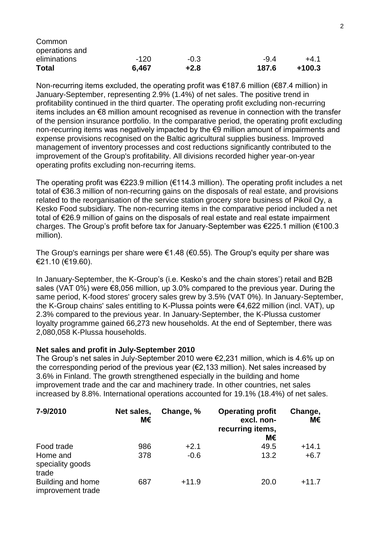| <b>Total</b>   | 6,467  | $+2.8$ | 187.6  | $+100.3$ |
|----------------|--------|--------|--------|----------|
| eliminations   | $-120$ | $-0.3$ | $-9.4$ | +4.1     |
| operations and |        |        |        |          |
| Common         |        |        |        |          |

Non-recurring items excluded, the operating profit was  $\epsilon$ 187.6 million ( $\epsilon$ 87.4 million) in January-September, representing 2.9% (1.4%) of net sales. The positive trend in profitability continued in the third quarter. The operating profit excluding non-recurring items includes an €8 million amount recognised as revenue in connection with the transfer of the pension insurance portfolio. In the comparative period, the operating profit excluding non-recurring items was negatively impacted by the €9 million amount of impairments and expense provisions recognised on the Baltic agricultural supplies business. Improved management of inventory processes and cost reductions significantly contributed to the improvement of the Group's profitability. All divisions recorded higher year-on-year operating profits excluding non-recurring items.

The operating profit was €223.9 million (€114.3 million). The operating profit includes a net total of €36.3 million of non-recurring gains on the disposals of real estate, and provisions related to the reorganisation of the service station grocery store business of Pikoil Oy, a Kesko Food subsidiary. The non-recurring items in the comparative period included a net total of €26.9 million of gains on the disposals of real estate and real estate impairment charges. The Group's profit before tax for January-September was €225.1 million (€100.3 million).

The Group's earnings per share were  $\epsilon$ 1.48 ( $\epsilon$ 0.55). The Group's equity per share was €21.10 (€19.60).

In January-September, the K-Group's (i.e. Kesko's and the chain stores') retail and B2B sales (VAT 0%) were €8,056 million, up 3.0% compared to the previous year. During the same period, K-food stores' grocery sales grew by 3.5% (VAT 0%). In January-September, the K-Group chains' sales entitling to K-Plussa points were €4,622 million (incl. VAT), up 2.3% compared to the previous year. In January-September, the K-Plussa customer loyalty programme gained 66,273 new households. At the end of September, there was 2,080,058 K-Plussa households.

#### **Net sales and profit in July-September 2010**

The Group's net sales in July-September 2010 were €2,231 million, which is 4.6% up on the corresponding period of the previous year ( $\epsilon$ 2,133 million). Net sales increased by 3.6% in Finland. The growth strengthened especially in the building and home improvement trade and the car and machinery trade. In other countries, net sales increased by 8.8%. International operations accounted for 19.1% (18.4%) of net sales.

| 7-9/2010                               | Net sales,<br>М€ | Change, % | <b>Operating profit</b><br>excl. non-<br>recurring items,<br>М€ | Change,<br>М€ |
|----------------------------------------|------------------|-----------|-----------------------------------------------------------------|---------------|
| Food trade                             | 986              | $+2.1$    | 49.5                                                            | $+14.1$       |
| Home and<br>speciality goods<br>trade  | 378              | $-0.6$    | 13.2                                                            | $+6.7$        |
| Building and home<br>improvement trade | 687              | $+11.9$   | 20.0                                                            | $+11.7$       |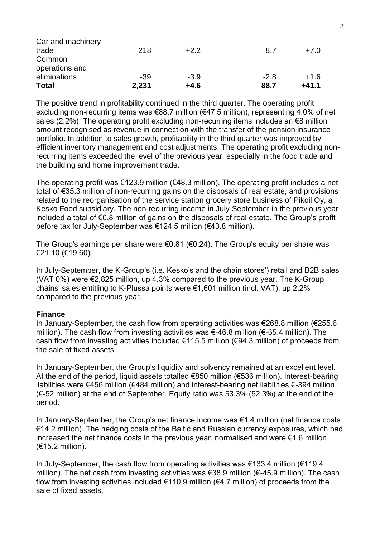| <b>Total</b>                   | 2,231 | $+4.6$ | 88.7   | $+41.1$ |
|--------------------------------|-------|--------|--------|---------|
| operations and<br>eliminations | -39   | $-3.9$ | $-2.8$ | $+1.6$  |
| Common                         |       |        |        |         |
| trade                          | 218   | $+2.2$ | 8.7    | $+7.0$  |
| Car and machinery              |       |        |        |         |

The positive trend in profitability continued in the third quarter. The operating profit excluding non-recurring items was €88.7 million (€47.5 million), representing 4.0% of net sales (2.2%). The operating profit excluding non-recurring items includes an €8 million amount recognised as revenue in connection with the transfer of the pension insurance portfolio. In addition to sales growth, profitability in the third quarter was improved by efficient inventory management and cost adjustments. The operating profit excluding nonrecurring items exceeded the level of the previous year, especially in the food trade and the building and home improvement trade.

The operating profit was  $\epsilon$ 123.9 million ( $\epsilon$ 48.3 million). The operating profit includes a net total of €35.3 million of non-recurring gains on the disposals of real estate, and provisions related to the reorganisation of the service station grocery store business of Pikoil Oy, a Kesko Food subsidiary. The non-recurring income in July-September in the previous year included a total of €0.8 million of gains on the disposals of real estate. The Group's profit before tax for July-September was €124.5 million (€43.8 million).

The Group's earnings per share were  $\epsilon$ 0.81 ( $\epsilon$ 0.24). The Group's equity per share was €21.10 (€19.60).

In July-September, the K-Group's (i.e. Kesko's and the chain stores') retail and B2B sales (VAT 0%) were €2,825 million, up 4.3% compared to the previous year. The K-Group chains' sales entitling to K-Plussa points were €1,601 million (incl. VAT), up 2.2% compared to the previous year.

#### **Finance**

In January-September, the cash flow from operating activities was €268.8 million (€255.6 million). The cash flow from investing activities was €-46.8 million (€-65.4 million). The cash flow from investing activities included €115.5 million (€94.3 million) of proceeds from the sale of fixed assets.

In January-September, the Group's liquidity and solvency remained at an excellent level. At the end of the period, liquid assets totalled €850 million (€536 million). Interest-bearing liabilities were €456 million (€484 million) and interest-bearing net liabilities €-394 million (€-52 million) at the end of September. Equity ratio was 53.3% (52.3%) at the end of the period.

In January-September, the Group's net finance income was €1.4 million (net finance costs €14.2 million). The hedging costs of the Baltic and Russian currency exposures, which had increased the net finance costs in the previous year, normalised and were €1.6 million (€15.2 million).

In July-September, the cash flow from operating activities was €133.4 million (€119.4 million). The net cash from investing activities was €38.9 million (€-45.9 million). The cash flow from investing activities included  $€110.9$  million ( $€4.7$  million) of proceeds from the sale of fixed assets.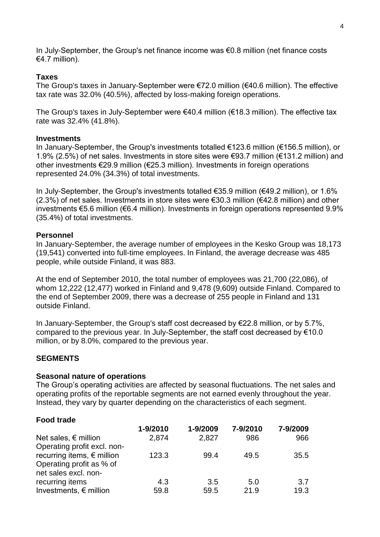In July-September, the Group's net finance income was €0.8 million (net finance costs €4.7 million).

## **Taxes**

The Group's taxes in January-September were  $\epsilon$ 72.0 million ( $\epsilon$ 40.6 million). The effective tax rate was 32.0% (40.5%), affected by loss-making foreign operations.

The Group's taxes in July-September were €40.4 million (€18.3 million). The effective tax rate was 32.4% (41.8%).

### **Investments**

In January-September, the Group's investments totalled €123.6 million (€156.5 million), or 1.9% (2.5%) of net sales. Investments in store sites were €93.7 million (€131.2 million) and other investments €29.9 million (€25.3 million). Investments in foreign operations represented 24.0% (34.3%) of total investments.

In July-September, the Group's investments totalled €35.9 million (€49.2 million), or 1.6%  $(2.3\%)$  of net sales. Investments in store sites were  $\epsilon$ 30.3 million ( $\epsilon$ 42.8 million) and other investments €5.6 million (€6.4 million). Investments in foreign operations represented 9.9% (35.4%) of total investments.

### **Personnel**

In January-September, the average number of employees in the Kesko Group was 18,173 (19,541) converted into full-time employees. In Finland, the average decrease was 485 people, while outside Finland, it was 883.

At the end of September 2010, the total number of employees was 21,700 (22,086), of whom 12,222 (12,477) worked in Finland and 9,478 (9,609) outside Finland. Compared to the end of September 2009, there was a decrease of 255 people in Finland and 131 outside Finland.

In January-September, the Group's staff cost decreased by €22.8 million, or by 5.7%, compared to the previous year. In July-September, the staff cost decreased by €10.0 million, or by 8.0%, compared to the previous year.

### **SEGMENTS**

### **Seasonal nature of operations**

The Group's operating activities are affected by seasonal fluctuations. The net sales and operating profits of the reportable segments are not earned evenly throughout the year. Instead, they vary by quarter depending on the characteristics of each segment.

## **Food trade**

|                                     | 1-9/2010 | 1-9/2009 | 7-9/2010 | 7-9/2009 |
|-------------------------------------|----------|----------|----------|----------|
| Net sales, $\epsilon$ million       | 2,874    | 2,827    | 986      | 966      |
| Operating profit excl. non-         |          |          |          |          |
| recurring items, $\epsilon$ million | 123.3    | 99.4     | 49.5     | 35.5     |
| Operating profit as % of            |          |          |          |          |
| net sales excl. non-                |          |          |          |          |
| recurring items                     | 4.3      | 3.5      | 5.0      | 3.7      |
| Investments, $\epsilon$ million     | 59.8     | 59.5     | 21.9     | 19.3     |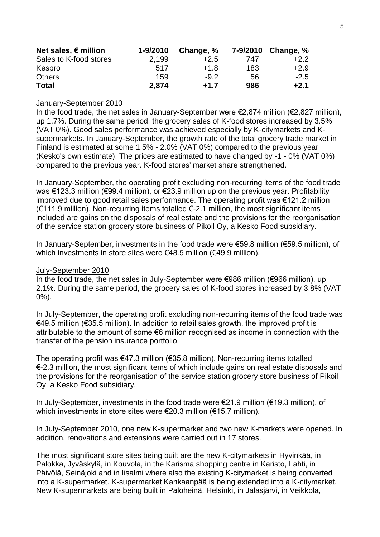| Net sales, $\epsilon$ million | 1-9/2010 | Change, % |     | 7-9/2010 Change, % |
|-------------------------------|----------|-----------|-----|--------------------|
| Sales to K-food stores        | 2.199    | $+2.5$    | 747 | $+2.2$             |
| Kespro                        | 517      | $+1.8$    | 183 | $+2.9$             |
| <b>Others</b>                 | 159      | $-9.2$    | 56  | $-2.5$             |
| <b>Total</b>                  | 2.874    | $+1.7$    | 986 | $+2.1$             |

#### January-September 2010

In the food trade, the net sales in January-September were €2,874 million (€2,827 million), up 1.7%. During the same period, the grocery sales of K-food stores increased by 3.5% (VAT 0%). Good sales performance was achieved especially by K-citymarkets and Ksupermarkets. In January-September, the growth rate of the total grocery trade market in Finland is estimated at some 1.5% - 2.0% (VAT 0%) compared to the previous year (Kesko's own estimate). The prices are estimated to have changed by -1 - 0% (VAT 0%) compared to the previous year. K-food stores' market share strengthened.

In January-September, the operating profit excluding non-recurring items of the food trade was €123.3 million (€99.4 million), or €23.9 million up on the previous year. Profitability improved due to good retail sales performance. The operating profit was €121.2 million  $(E111.9 \text{ million})$ . Non-recurring items totalled €-2.1 million, the most significant items included are gains on the disposals of real estate and the provisions for the reorganisation of the service station grocery store business of Pikoil Oy, a Kesko Food subsidiary.

In January-September, investments in the food trade were €59.8 million (€59.5 million), of which investments in store sites were €48.5 million (€49.9 million).

#### July-September 2010

In the food trade, the net sales in July-September were  $\epsilon$ 986 million ( $\epsilon$ 966 million), up 2.1%. During the same period, the grocery sales of K-food stores increased by 3.8% (VAT 0%).

In July-September, the operating profit excluding non-recurring items of the food trade was €49.5 million (€35.5 million). In addition to retail sales growth, the improved profit is attributable to the amount of some €6 million recognised as income in connection with the transfer of the pension insurance portfolio.

The operating profit was €47.3 million (€35.8 million). Non-recurring items totalled €-2.3 million, the most significant items of which include gains on real estate disposals and the provisions for the reorganisation of the service station grocery store business of Pikoil Oy, a Kesko Food subsidiary.

In July-September, investments in the food trade were €21.9 million (€19.3 million), of which investments in store sites were €20.3 million (€15.7 million).

In July-September 2010, one new K-supermarket and two new K-markets were opened. In addition, renovations and extensions were carried out in 17 stores.

The most significant store sites being built are the new K-citymarkets in Hyvinkää, in Palokka, Jyväskylä, in Kouvola, in the Karisma shopping centre in Karisto, Lahti, in Päivölä, Seinäjoki and in Iisalmi where also the existing K-citymarket is being converted into a K-supermarket. K-supermarket Kankaanpää is being extended into a K-citymarket. New K-supermarkets are being built in Paloheinä, Helsinki, in Jalasjärvi, in Veikkola,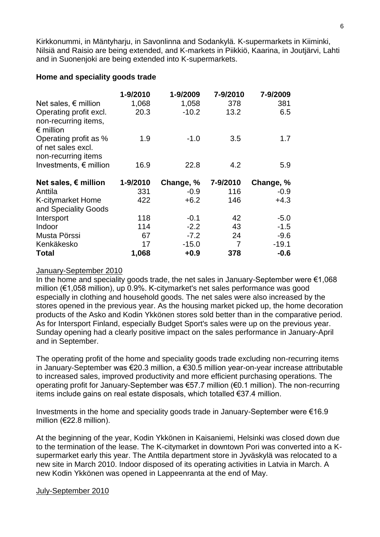Kirkkonummi, in Mäntyharju, in Savonlinna and Sodankylä. K-supermarkets in Kiiminki, Nilsiä and Raisio are being extended, and K-markets in Piikkiö, Kaarina, in Joutjärvi, Lahti and in Suonenjoki are being extended into K-supermarkets.

#### **Home and speciality goods trade**

|                                 | 1-9/2010 | 1-9/2009  | 7-9/2010 | 7-9/2009  |
|---------------------------------|----------|-----------|----------|-----------|
| Net sales, $\epsilon$ million   | 1,068    | 1,058     | 378      | 381       |
| Operating profit excl.          | 20.3     | $-10.2$   | 13.2     | 6.5       |
| non-recurring items,            |          |           |          |           |
| $\epsilon$ million              |          |           |          |           |
| Operating profit as %           | 1.9      | $-1.0$    | 3.5      | 1.7       |
| of net sales excl.              |          |           |          |           |
| non-recurring items             |          |           |          |           |
| Investments, $\epsilon$ million | 16.9     | 22.8      | 4.2      | 5.9       |
|                                 |          |           |          |           |
|                                 |          |           |          |           |
| Net sales, $\epsilon$ million   | 1-9/2010 | Change, % | 7-9/2010 | Change, % |
| Anttila                         | 331      | $-0.9$    | 116      | $-0.9$    |
| K-citymarket Home               | 422      | $+6.2$    | 146      | $+4.3$    |
| and Speciality Goods            |          |           |          |           |
| Intersport                      | 118      | $-0.1$    | 42       | $-5.0$    |
| Indoor                          | 114      | $-2.2$    | 43       | $-1.5$    |
| Musta Pörssi                    | 67       | $-7.2$    | 24       | $-9.6$    |
| Kenkäkesko                      | 17       | $-15.0$   | 7        | $-19.1$   |

## January-September 2010

In the home and speciality goods trade, the net sales in January-September were  $\epsilon$ 1,068 million (€1,058 million), up 0.9%. K-citymarket's net sales performance was good especially in clothing and household goods. The net sales were also increased by the stores opened in the previous year. As the housing market picked up, the home decoration products of the Asko and Kodin Ykkönen stores sold better than in the comparative period. As for Intersport Finland, especially Budget Sport's sales were up on the previous year. Sunday opening had a clearly positive impact on the sales performance in January-April and in September.

The operating profit of the home and speciality goods trade excluding non-recurring items in January-September was €20.3 million, a €30.5 million year-on-year increase attributable to increased sales, improved productivity and more efficient purchasing operations. The operating profit for January-September was €57.7 million (€0.1 million). The non-recurring items include gains on real estate disposals, which totalled €37.4 million.

Investments in the home and speciality goods trade in January-September were €16.9 million (€22.8 million).

At the beginning of the year, Kodin Ykkönen in Kaisaniemi, Helsinki was closed down due to the termination of the lease. The K-citymarket in downtown Pori was converted into a Ksupermarket early this year. The Anttila department store in Jyväskylä was relocated to a new site in March 2010. Indoor disposed of its operating activities in Latvia in March. A new Kodin Ykkönen was opened in Lappeenranta at the end of May.

### July-September 2010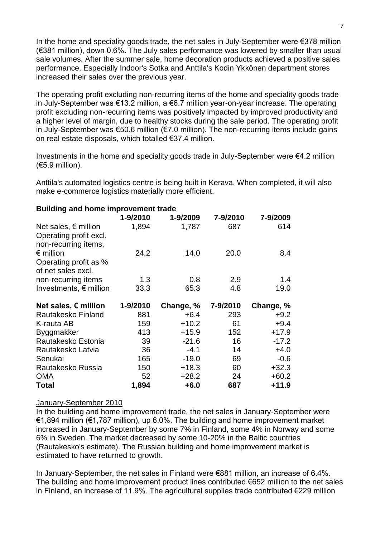In the home and speciality goods trade, the net sales in July-September were €378 million (€381 million), down 0.6%. The July sales performance was lowered by smaller than usual sale volumes. After the summer sale, home decoration products achieved a positive sales performance. Especially Indoor's Sotka and Anttila's Kodin Ykkönen department stores increased their sales over the previous year.

The operating profit excluding non-recurring items of the home and speciality goods trade in July-September was €13.2 million, a €6.7 million year-on-year increase. The operating profit excluding non-recurring items was positively impacted by improved productivity and a higher level of margin, due to healthy stocks during the sale period. The operating profit in July-September was €50.6 million (€7.0 million). The non-recurring items include gains on real estate disposals, which totalled €37.4 million.

Investments in the home and speciality goods trade in July-September were €4.2 million (€5.9 million).

Anttila's automated logistics centre is being built in Kerava. When completed, it will also make e-commerce logistics materially more efficient.

| <b>Bullaing and nome improvement trade</b> |          |           |          |           |
|--------------------------------------------|----------|-----------|----------|-----------|
|                                            | 1-9/2010 | 1-9/2009  | 7-9/2010 | 7-9/2009  |
| Net sales, $\epsilon$ million              | 1,894    | 1,787     | 687      | 614       |
| Operating profit excl.                     |          |           |          |           |
| non-recurring items,                       |          |           |          |           |
| $\epsilon$ million                         | 24.2     | 14.0      | 20.0     | 8.4       |
| Operating profit as %                      |          |           |          |           |
| of net sales excl.                         |          |           |          |           |
| non-recurring items                        | 1.3      | 0.8       | 2.9      | 1.4       |
| Investments, $\epsilon$ million            | 33.3     | 65.3      | 4.8      | 19.0      |
|                                            |          |           |          |           |
|                                            |          |           |          |           |
| Net sales, € million                       | 1-9/2010 | Change, % | 7-9/2010 | Change, % |
| Rautakesko Finland                         | 881      | $+6.4$    | 293      | $+9.2$    |
| K-rauta AB                                 | 159      | $+10.2$   | 61       | $+9.4$    |
| Byggmakker                                 | 413      | $+15.9$   | 152      | $+17.9$   |
| Rautakesko Estonia                         | 39       | $-21.6$   | 16       | $-17.2$   |
| Rautakesko Latvia                          | 36       | $-4.1$    | 14       | $+4.0$    |
| Senukai                                    | 165      | $-19.0$   | 69       | $-0.6$    |
| Rautakesko Russia                          | 150      | $+18.3$   | 60       | $+32.3$   |
| <b>OMA</b>                                 | 52       | $+28.2$   | 24       | $+60.2$   |

## **Building and home improvement trade**

### January-September 2010

In the building and home improvement trade, the net sales in January-September were €1,894 million (€1,787 million), up 6.0%. The building and home improvement market increased in January-September by some 7% in Finland, some 4% in Norway and some 6% in Sweden. The market decreased by some 10-20% in the Baltic countries (Rautakesko's estimate). The Russian building and home improvement market is estimated to have returned to growth.

In January-September, the net sales in Finland were €881 million, an increase of 6.4%. The building and home improvement product lines contributed €652 million to the net sales in Finland, an increase of 11.9%. The agricultural supplies trade contributed €229 million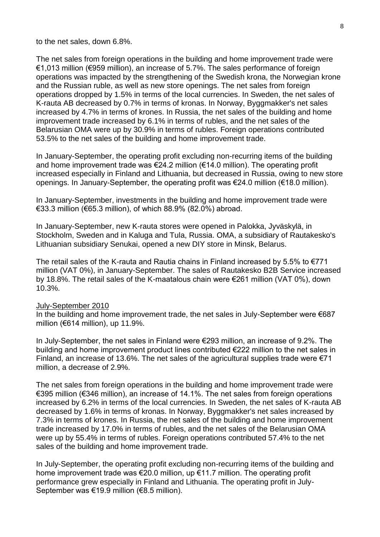to the net sales, down 6.8%.

The net sales from foreign operations in the building and home improvement trade were €1,013 million (€959 million), an increase of 5.7%. The sales performance of foreign operations was impacted by the strengthening of the Swedish krona, the Norwegian krone and the Russian ruble, as well as new store openings. The net sales from foreign operations dropped by 1.5% in terms of the local currencies. In Sweden, the net sales of K-rauta AB decreased by 0.7% in terms of kronas. In Norway, Byggmakker's net sales increased by 4.7% in terms of krones. In Russia, the net sales of the building and home improvement trade increased by 6.1% in terms of rubles, and the net sales of the Belarusian OMA were up by 30.9% in terms of rubles. Foreign operations contributed 53.5% to the net sales of the building and home improvement trade.

In January-September, the operating profit excluding non-recurring items of the building and home improvement trade was €24.2 million (€14.0 million). The operating profit increased especially in Finland and Lithuania, but decreased in Russia, owing to new store openings. In January-September, the operating profit was €24.0 million (€18.0 million).

In January-September, investments in the building and home improvement trade were €33.3 million (€65.3 million), of which 88.9% (82.0%) abroad.

In January-September, new K-rauta stores were opened in Palokka, Jyväskylä, in Stockholm, Sweden and in Kaluga and Tula, Russia. OMA, a subsidiary of Rautakesko's Lithuanian subsidiary Senukai, opened a new DIY store in Minsk, Belarus.

The retail sales of the K-rauta and Rautia chains in Finland increased by 5.5% to  $\epsilon$ 771 million (VAT 0%), in January-September. The sales of Rautakesko B2B Service increased by 18.8%. The retail sales of the K-maatalous chain were €261 million (VAT 0%), down 10.3%.

#### July-September 2010

In the building and home improvement trade, the net sales in July-September were €687 million ( $€614$  million), up 11.9%.

In July-September, the net sales in Finland were €293 million, an increase of 9.2%. The building and home improvement product lines contributed €222 million to the net sales in Finland, an increase of 13.6%. The net sales of the agricultural supplies trade were  $\epsilon$ 71 million, a decrease of 2.9%.

The net sales from foreign operations in the building and home improvement trade were €395 million (€346 million), an increase of 14.1%. The net sales from foreign operations increased by 6.2% in terms of the local currencies. In Sweden, the net sales of K-rauta AB decreased by 1.6% in terms of kronas. In Norway, Byggmakker's net sales increased by 7.3% in terms of krones. In Russia, the net sales of the building and home improvement trade increased by 17.0% in terms of rubles, and the net sales of the Belarusian OMA were up by 55.4% in terms of rubles. Foreign operations contributed 57.4% to the net sales of the building and home improvement trade.

In July-September, the operating profit excluding non-recurring items of the building and home improvement trade was €20.0 million, up €11.7 million. The operating profit performance grew especially in Finland and Lithuania. The operating profit in July-September was €19.9 million (€8.5 million).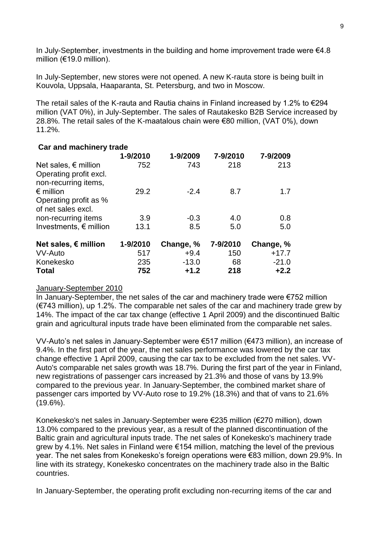In July-September, investments in the building and home improvement trade were  $64.8$ million (€19.0 million).

In July-September, new stores were not opened. A new K-rauta store is being built in Kouvola, Uppsala, Haaparanta, St. Petersburg, and two in Moscow.

The retail sales of the K-rauta and Rautia chains in Finland increased by 1.2% to  $\epsilon$ 294 million (VAT 0%), in July-September. The sales of Rautakesko B2B Service increased by 28.8%. The retail sales of the K-maatalous chain were €80 million, (VAT 0%), down 11.2%.

| Car and machinery trade         |          |           |          |           |
|---------------------------------|----------|-----------|----------|-----------|
|                                 | 1-9/2010 | 1-9/2009  | 7-9/2010 | 7-9/2009  |
| Net sales, $\epsilon$ million   | 752      | 743       | 218      | 213       |
| Operating profit excl.          |          |           |          |           |
| non-recurring items,            |          |           |          |           |
| $\epsilon$ million              | 29.2     | $-2.4$    | 8.7      | 1.7       |
| Operating profit as %           |          |           |          |           |
| of net sales excl.              |          |           |          |           |
| non-recurring items             | 3.9      | $-0.3$    | 4.0      | 0.8       |
| Investments, $\epsilon$ million | 13.1     | 8.5       | 5.0      | 5.0       |
|                                 |          |           |          |           |
| Net sales, $\epsilon$ million   | 1-9/2010 | Change, % | 7-9/2010 | Change, % |
| VV-Auto                         | 517      | $+9.4$    | 150      | $+17.7$   |
| Konekesko                       | 235      | $-13.0$   | 68       | $-21.0$   |
| <b>Total</b>                    | 752      | $+1.2$    | 218      | $+2.2$    |

### January-September 2010

In January-September, the net sales of the car and machinery trade were €752 million (€743 million), up 1.2%. The comparable net sales of the car and machinery trade grew by 14%. The impact of the car tax change (effective 1 April 2009) and the discontinued Baltic grain and agricultural inputs trade have been eliminated from the comparable net sales.

VV-Auto's net sales in January-September were €517 million (€473 million), an increase of 9.4%. In the first part of the year, the net sales performance was lowered by the car tax change effective 1 April 2009, causing the car tax to be excluded from the net sales. VV-Auto's comparable net sales growth was 18.7%. During the first part of the year in Finland, new registrations of passenger cars increased by 21.3% and those of vans by 13.9% compared to the previous year. In January-September, the combined market share of passenger cars imported by VV-Auto rose to 19.2% (18.3%) and that of vans to 21.6% (19.6%).

Konekesko's net sales in January-September were €235 million (€270 million), down 13.0% compared to the previous year, as a result of the planned discontinuation of the Baltic grain and agricultural inputs trade. The net sales of Konekesko's machinery trade grew by 4.1%. Net sales in Finland were €154 million, matching the level of the previous year. The net sales from Konekesko's foreign operations were €83 million, down 29.9%. In line with its strategy, Konekesko concentrates on the machinery trade also in the Baltic countries.

In January-September, the operating profit excluding non-recurring items of the car and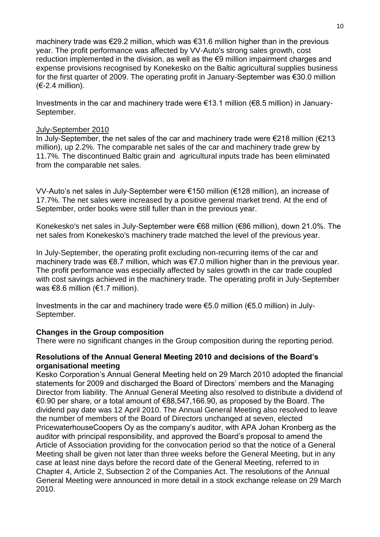machinery trade was €29.2 million, which was €31.6 million higher than in the previous year. The profit performance was affected by VV-Auto's strong sales growth, cost reduction implemented in the division, as well as the €9 million impairment charges and expense provisions recognised by Konekesko on the Baltic agricultural supplies business for the first quarter of 2009. The operating profit in January-September was €30.0 million  $(E-2.4$  million).

Investments in the car and machinery trade were  $\epsilon$ 13.1 million ( $\epsilon$ 8.5 million) in January-September.

#### July-September 2010

In July-September, the net sales of the car and machinery trade were €218 million (€213 million), up 2.2%. The comparable net sales of the car and machinery trade grew by 11.7%. The discontinued Baltic grain and agricultural inputs trade has been eliminated from the comparable net sales.

VV-Auto's net sales in July-September were €150 million (€128 million), an increase of 17.7%. The net sales were increased by a positive general market trend. At the end of September, order books were still fuller than in the previous year.

Konekesko's net sales in July-September were €68 million (€86 million), down 21.0%. The net sales from Konekesko's machinery trade matched the level of the previous year.

In July-September, the operating profit excluding non-recurring items of the car and machinery trade was €8.7 million, which was €7.0 million higher than in the previous year. The profit performance was especially affected by sales growth in the car trade coupled with cost savings achieved in the machinery trade. The operating profit in July-September was  $€8.6$  million ( $€1.7$  million).

Investments in the car and machinery trade were  $\epsilon$ 5.0 million ( $\epsilon$ 5.0 million) in July-September.

### **Changes in the Group composition**

There were no significant changes in the Group composition during the reporting period.

## **Resolutions of the Annual General Meeting 2010 and decisions of the Board's organisational meeting**

Kesko Corporation's Annual General Meeting held on 29 March 2010 adopted the financial statements for 2009 and discharged the Board of Directors' members and the Managing Director from liability. The Annual General Meeting also resolved to distribute a dividend of €0.90 per share, or a total amount of €88,547,166.90, as proposed by the Board. The dividend pay date was 12 April 2010. The Annual General Meeting also resolved to leave the number of members of the Board of Directors unchanged at seven, elected PricewaterhouseCoopers Oy as the company's auditor, with APA Johan Kronberg as the auditor with principal responsibility, and approved the Board's proposal to amend the Article of Association providing for the convocation period so that the notice of a General Meeting shall be given not later than three weeks before the General Meeting, but in any case at least nine days before the record date of the General Meeting, referred to in Chapter 4, Article 2, Subsection 2 of the Companies Act. The resolutions of the Annual General Meeting were announced in more detail in a stock exchange release on 29 March 2010.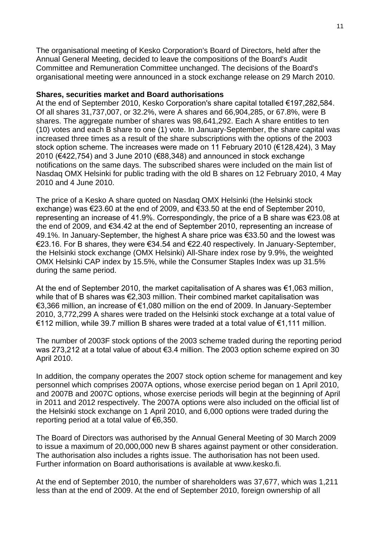The organisational meeting of Kesko Corporation's Board of Directors, held after the Annual General Meeting, decided to leave the compositions of the Board's Audit Committee and Remuneration Committee unchanged. The decisions of the Board's organisational meeting were announced in a stock exchange release on 29 March 2010.

#### **Shares, securities market and Board authorisations**

At the end of September 2010, Kesko Corporation's share capital totalled €197,282,584. Of all shares 31,737,007, or 32.2%, were A shares and 66,904,285, or 67.8%, were B shares. The aggregate number of shares was 98,641,292. Each A share entitles to ten (10) votes and each B share to one (1) vote. In January-September, the share capital was increased three times as a result of the share subscriptions with the options of the 2003 stock option scheme. The increases were made on 11 February 2010 (€128,424), 3 May 2010 (€422,754) and 3 June 2010 (€88,348) and announced in stock exchange notifications on the same days. The subscribed shares were included on the main list of Nasdaq OMX Helsinki for public trading with the old B shares on 12 February 2010, 4 May 2010 and 4 June 2010.

The price of a Kesko A share quoted on Nasdaq OMX Helsinki (the Helsinki stock exchange) was €23.60 at the end of 2009, and €33.50 at the end of September 2010, representing an increase of 41.9%. Correspondingly, the price of a B share was €23.08 at the end of 2009, and €34.42 at the end of September 2010, representing an increase of 49.1%. In January-September, the highest A share price was €33.50 and the lowest was €23.16. For B shares, they were €34.54 and €22.40 respectively. In January-September, the Helsinki stock exchange (OMX Helsinki) All-Share index rose by 9.9%, the weighted OMX Helsinki CAP index by 15.5%, while the Consumer Staples Index was up 31.5% during the same period.

At the end of September 2010, the market capitalisation of A shares was €1,063 million, while that of B shares was €2,303 million. Their combined market capitalisation was €3,366 million, an increase of €1,080 million on the end of 2009. In January-September 2010, 3,772,299 A shares were traded on the Helsinki stock exchange at a total value of €112 million, while 39.7 million B shares were traded at a total value of €1,111 million.

The number of 2003F stock options of the 2003 scheme traded during the reporting period was 273,212 at a total value of about €3.4 million. The 2003 option scheme expired on 30 April 2010.

In addition, the company operates the 2007 stock option scheme for management and key personnel which comprises 2007A options, whose exercise period began on 1 April 2010, and 2007B and 2007C options, whose exercise periods will begin at the beginning of April in 2011 and 2012 respectively. The 2007A options were also included on the official list of the Helsinki stock exchange on 1 April 2010, and 6,000 options were traded during the reporting period at a total value of €6,350.

The Board of Directors was authorised by the Annual General Meeting of 30 March 2009 to issue a maximum of 20,000,000 new B shares against payment or other consideration. The authorisation also includes a rights issue. The authorisation has not been used. Further information on Board authorisations is available at www.kesko.fi.

At the end of September 2010, the number of shareholders was 37,677, which was 1,211 less than at the end of 2009. At the end of September 2010, foreign ownership of all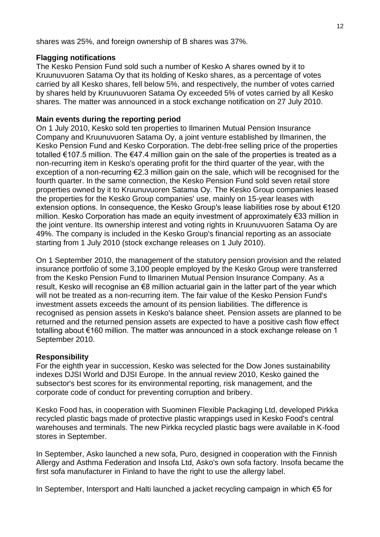shares was 25%, and foreign ownership of B shares was 37%.

### **Flagging notifications**

The Kesko Pension Fund sold such a number of Kesko A shares owned by it to Kruunuvuoren Satama Oy that its holding of Kesko shares, as a percentage of votes carried by all Kesko shares, fell below 5%, and respectively, the number of votes carried by shares held by Kruunuvuoren Satama Oy exceeded 5% of votes carried by all Kesko shares. The matter was announced in a stock exchange notification on 27 July 2010.

## **Main events during the reporting period**

On 1 July 2010, Kesko sold ten properties to Ilmarinen Mutual Pension Insurance Company and Kruunuvuoren Satama Oy, a joint venture established by Ilmarinen, the Kesko Pension Fund and Kesko Corporation. The debt-free selling price of the properties totalled €107.5 million. The €47.4 million gain on the sale of the properties is treated as a non-recurring item in Kesko's operating profit for the third quarter of the year, with the exception of a non-recurring €2.3 million gain on the sale, which will be recognised for the fourth quarter. In the same connection, the Kesko Pension Fund sold seven retail store properties owned by it to Kruunuvuoren Satama Oy. The Kesko Group companies leased the properties for the Kesko Group companies' use, mainly on 15-year leases with extension options. In consequence, the Kesko Group's lease liabilities rose by about €120 million. Kesko Corporation has made an equity investment of approximately €33 million in the joint venture. Its ownership interest and voting rights in Kruunuvuoren Satama Oy are 49%. The company is included in the Kesko Group's financial reporting as an associate starting from 1 July 2010 (stock exchange releases on 1 July 2010).

On 1 September 2010, the management of the statutory pension provision and the related insurance portfolio of some 3,100 people employed by the Kesko Group were transferred from the Kesko Pension Fund to Ilmarinen Mutual Pension Insurance Company. As a result, Kesko will recognise an €8 million actuarial gain in the latter part of the year which will not be treated as a non-recurring item. The fair value of the Kesko Pension Fund's investment assets exceeds the amount of its pension liabilities. The difference is recognised as pension assets in Kesko's balance sheet. Pension assets are planned to be returned and the returned pension assets are expected to have a positive cash flow effect totalling about €160 million. The matter was announced in a stock exchange release on 1 September 2010.

### **Responsibility**

For the eighth year in succession, Kesko was selected for the Dow Jones sustainability indexes DJSI World and DJSI Europe. In the annual review 2010, Kesko gained the subsector's best scores for its environmental reporting, risk management, and the corporate code of conduct for preventing corruption and bribery.

Kesko Food has, in cooperation with Suominen Flexible Packaging Ltd, developed Pirkka recycled plastic bags made of protective plastic wrappings used in Kesko Food's central warehouses and terminals. The new Pirkka recycled plastic bags were available in K-food stores in September.

In September, Asko launched a new sofa, Puro, designed in cooperation with the Finnish Allergy and Asthma Federation and Insofa Ltd, Asko's own sofa factory. Insofa became the first sofa manufacturer in Finland to have the right to use the allergy label.

In September, Intersport and Halti launched a jacket recycling campaign in which €5 for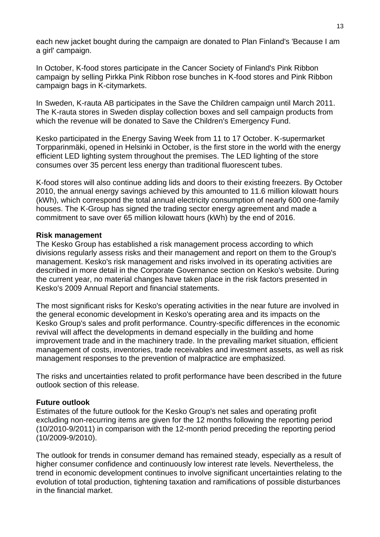each new jacket bought during the campaign are donated to Plan Finland's 'Because I am a girl' campaign.

In October, K-food stores participate in the Cancer Society of Finland's Pink Ribbon campaign by selling Pirkka Pink Ribbon rose bunches in K-food stores and Pink Ribbon campaign bags in K-citymarkets.

In Sweden, K-rauta AB participates in the Save the Children campaign until March 2011. The K-rauta stores in Sweden display collection boxes and sell campaign products from which the revenue will be donated to Save the Children's Emergency Fund.

Kesko participated in the Energy Saving Week from 11 to 17 October. K-supermarket Torpparinmäki, opened in Helsinki in October, is the first store in the world with the energy efficient LED lighting system throughout the premises. The LED lighting of the store consumes over 35 percent less energy than traditional fluorescent tubes.

K-food stores will also continue adding lids and doors to their existing freezers. By October 2010, the annual energy savings achieved by this amounted to 11.6 million kilowatt hours (kWh), which correspond the total annual electricity consumption of nearly 600 one-family houses. The K-Group has signed the trading sector energy agreement and made a commitment to save over 65 million kilowatt hours (kWh) by the end of 2016.

#### **Risk management**

The Kesko Group has established a risk management process according to which divisions regularly assess risks and their management and report on them to the Group's management. Kesko's risk management and risks involved in its operating activities are described in more detail in the Corporate Governance section on Kesko's website. During the current year, no material changes have taken place in the risk factors presented in Kesko's 2009 Annual Report and financial statements.

The most significant risks for Kesko's operating activities in the near future are involved in the general economic development in Kesko's operating area and its impacts on the Kesko Group's sales and profit performance. Country-specific differences in the economic revival will affect the developments in demand especially in the building and home improvement trade and in the machinery trade. In the prevailing market situation, efficient management of costs, inventories, trade receivables and investment assets, as well as risk management responses to the prevention of malpractice are emphasized.

The risks and uncertainties related to profit performance have been described in the future outlook section of this release.

#### **Future outlook**

Estimates of the future outlook for the Kesko Group's net sales and operating profit excluding non-recurring items are given for the 12 months following the reporting period (10/2010-9/2011) in comparison with the 12-month period preceding the reporting period (10/2009-9/2010).

The outlook for trends in consumer demand has remained steady, especially as a result of higher consumer confidence and continuously low interest rate levels. Nevertheless, the trend in economic development continues to involve significant uncertainties relating to the evolution of total production, tightening taxation and ramifications of possible disturbances in the financial market.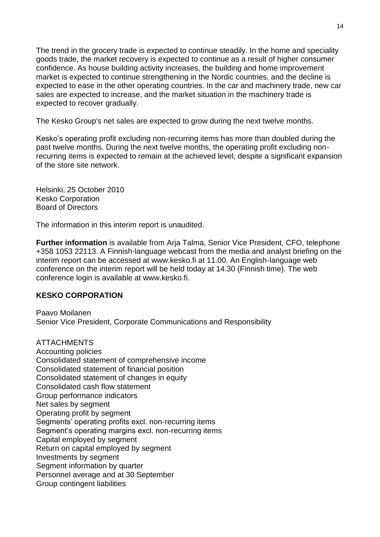The trend in the grocery trade is expected to continue steadily. In the home and speciality goods trade, the market recovery is expected to continue as a result of higher consumer confidence. As house building activity increases, the building and home improvement market is expected to continue strengthening in the Nordic countries, and the decline is expected to ease in the other operating countries. In the car and machinery trade, new car sales are expected to increase, and the market situation in the machinery trade is expected to recover gradually.

The Kesko Group's net sales are expected to grow during the next twelve months.

Kesko's operating profit excluding non-recurring items has more than doubled during the past twelve months. During the next twelve months, the operating profit excluding nonrecurring items is expected to remain at the achieved level, despite a significant expansion of the store site network.

Helsinki, 25 October 2010 Kesko Corporation Board of Directors

The information in this interim report is unaudited.

**Further information** is available from Arja Talma, Senior Vice President, CFO, telephone +358 1053 22113. A Finnish-language webcast from the media and analyst briefing on the interim report can be accessed at www.kesko.fi at 11.00. An English-language web conference on the interim report will be held today at 14.30 (Finnish time). The web conference login is available at www.kesko.fi.

### **KESKO CORPORATION**

Paavo Moilanen Senior Vice President, Corporate Communications and Responsibility

ATTACHMENTS Accounting policies Consolidated statement of comprehensive income Consolidated statement of financial position Consolidated statement of changes in equity Consolidated cash flow statement Group performance indicators Net sales by segment Operating profit by segment Segments' operating profits excl. non-recurring items Segment's operating margins excl. non-recurring items Capital employed by segment Return on capital employed by segment Investments by segment Segment information by quarter Personnel average and at 30 September Group contingent liabilities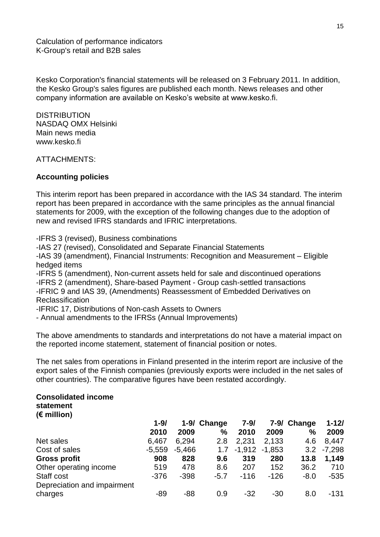Calculation of performance indicators K-Group's retail and B2B sales

Kesko Corporation's financial statements will be released on 3 February 2011. In addition, the Kesko Group's sales figures are published each month. News releases and other company information are available on Kesko's website at www.kesko.fi.

**DISTRIBUTION** NASDAQ OMX Helsinki Main news media www.kesko.fi

ATTACHMENTS:

### **Accounting policies**

This interim report has been prepared in accordance with the IAS 34 standard. The interim report has been prepared in accordance with the same principles as the annual financial statements for 2009, with the exception of the following changes due to the adoption of new and revised IFRS standards and IFRIC interpretations.

-IFRS 3 (revised), Business combinations

-IAS 27 (revised), Consolidated and Separate Financial Statements

-IAS 39 (amendment), Financial Instruments: Recognition and Measurement – Eligible hedged items

-IFRS 5 (amendment), Non-current assets held for sale and discontinued operations

-IFRS 2 (amendment), Share-based Payment - Group cash-settled transactions

-IFRIC 9 and IAS 39, (Amendments) Reassessment of Embedded Derivatives on **Reclassification** 

-IFRIC 17, Distributions of Non-cash Assets to Owners

- Annual amendments to the IFRSs (Annual Improvements)

The above amendments to standards and interpretations do not have a material impact on the reported income statement, statement of financial position or notes.

The net sales from operations in Finland presented in the interim report are inclusive of the export sales of the Finnish companies (previously exports were included in the net sales of other countries). The comparative figures have been restated accordingly.

#### **Consolidated income statement**

**(€ million)**

|                             | $1 - 9/$ |          | 1-9/ Change | $7 - 9/$          |        | 7-9/ Change | $1 - 12/$ |
|-----------------------------|----------|----------|-------------|-------------------|--------|-------------|-----------|
|                             | 2010     | 2009     | $\%$        | 2010              | 2009   | $\%$        | 2009      |
| Net sales                   | 6,467    | 6.294    | 2.8         | 2,231             | 2.133  | 4.6         | 8,447     |
| Cost of sales               | $-5,559$ | $-5,466$ | 1.7         | $-1,912$ $-1,853$ |        | 3.2         | $-7,298$  |
| <b>Gross profit</b>         | 908      | 828      | 9.6         | 319               | 280    | 13.8        | 1,149     |
| Other operating income      | 519      | 478      | 8.6         | 207               | 152    | 36.2        | 710       |
| Staff cost                  | $-376$   | $-398$   | $-5.7$      | $-116$            | $-126$ | $-8.0$      | $-535$    |
| Depreciation and impairment |          |          |             |                   |        |             |           |
| charges                     | $-89$    | $-88$    | 0.9         | $-32$             | $-30$  | 8.0         | -131      |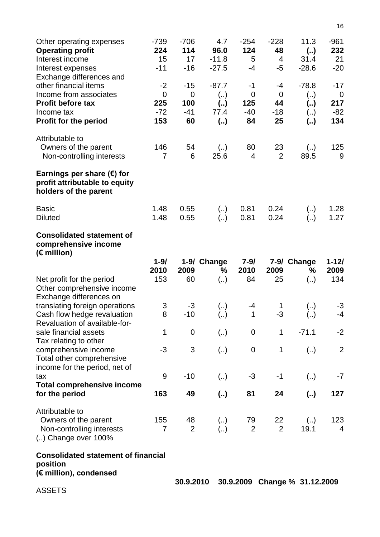| Other operating expenses<br><b>Operating profit</b><br>Interest income<br>Interest expenses<br>Exchange differences and | $-739$<br>224<br>15<br>$-11$           | $-706$<br>114<br>17<br>$-16$            | 4.7<br>96.0<br>$-11.8$<br>$-27.5$ | $-254$<br>124<br>5<br>$-4$          | $-228$<br>48<br>4<br>$-5$     | 11.3<br>(.)<br>31.4<br>$-28.6$            | $-961$<br>232<br>21<br>$-20$         |
|-------------------------------------------------------------------------------------------------------------------------|----------------------------------------|-----------------------------------------|-----------------------------------|-------------------------------------|-------------------------------|-------------------------------------------|--------------------------------------|
| other financial items<br>Income from associates<br><b>Profit before tax</b><br>Income tax                               | $-2$<br>$\overline{0}$<br>225<br>$-72$ | $-15$<br>$\overline{0}$<br>100<br>$-41$ | $-87.7$<br>(.)<br>(.)<br>77.4     | $-1$<br>$\mathbf 0$<br>125<br>$-40$ | -4<br>$\Omega$<br>44<br>$-18$ | $-78.8$<br>$\left( \right)$<br>(.)<br>(.) | $-17$<br>$\mathbf 0$<br>217<br>$-82$ |
| Profit for the period                                                                                                   | 153                                    | 60                                      | (.)                               | 84                                  | 25                            | (.)                                       | 134                                  |
| Attributable to<br>Owners of the parent<br>Non-controlling interests                                                    | 146<br>$\overline{7}$                  | 54<br>6                                 | $\left(  \right)$<br>25.6         | 80<br>$\overline{4}$                | 23<br>$\overline{2}$          | $\left( \right)$<br>89.5                  | 125<br>9                             |
| Earnings per share $(\epsilon)$ for<br>profit attributable to equity<br>holders of the parent                           |                                        |                                         |                                   |                                     |                               |                                           |                                      |
| <b>Basic</b><br><b>Diluted</b>                                                                                          | 1.48<br>1.48                           | 0.55<br>0.55                            | (.)<br>(.)                        | 0.81<br>0.81                        | 0.24<br>0.24                  | $\left(  \right)$<br>(.)                  | 1.28<br>1.27                         |
| <b>Consolidated statement of</b><br>comprehensive income<br>$(\epsilon$ million)                                        |                                        |                                         |                                   |                                     |                               |                                           |                                      |
|                                                                                                                         | $1 - 9/$                               |                                         | 1-9/ Change                       | $7 - 9/$                            |                               | 7-9/ Change                               | $1 - 12/$                            |
| Net profit for the period                                                                                               | 2010<br>153                            | 2009<br>60                              | %<br>(.)                          | 2010<br>84                          | 2009<br>25                    | %<br>$\left(  \right)$                    | 2009<br>134                          |
| Other comprehensive income<br>Exchange differences on                                                                   |                                        |                                         |                                   |                                     |                               |                                           |                                      |
| translating foreign operations<br>Cash flow hedge revaluation<br>Revaluation of available-for-                          | 3<br>8                                 | -3<br>$-10$                             | (.)                               | -4<br>1                             | 1<br>$-3$                     | (.)                                       | -3<br>$-4$                           |
| sale financial assets                                                                                                   | 1                                      | $\mathbf 0$                             | (.)                               | $\overline{0}$                      | 1                             | $-71.1$                                   | $-2$                                 |
| Tax relating to other<br>comprehensive income<br>Total other comprehensive                                              | -3                                     | 3                                       | (.)                               | $\mathbf 0$                         | 1                             | $\left(  \right)$                         | $\overline{2}$                       |
| income for the period, net of<br>tax                                                                                    | 9                                      | $-10$                                   | (.)                               | $-3$                                | $-1$                          | (.)                                       | $-7$                                 |
| <b>Total comprehensive income</b><br>for the period                                                                     | 163                                    | 49                                      | $\left( \right)$                  | 81                                  | 24                            | $\left( \ldots \right)$                   | 127                                  |
| Attributable to<br>Owners of the parent<br>Non-controlling interests<br>$\ldots$ ) Change over 100%                     | 155<br>7                               | 48<br>$\overline{2}$                    | (.)<br>(.)                        | 79<br>$\overline{2}$                | 22<br>$\overline{2}$          | $\left(  \right)$<br>19.1                 | 123<br>4                             |
| <b>Consolidated statement of financial</b><br>position                                                                  |                                        |                                         |                                   |                                     |                               |                                           |                                      |
| (€ million), condensed                                                                                                  |                                        | 30.9.2010                               |                                   |                                     |                               | 30.9.2009 Change % 31.12.2009             |                                      |
| <b>ASSETS</b>                                                                                                           |                                        |                                         |                                   |                                     |                               |                                           |                                      |

16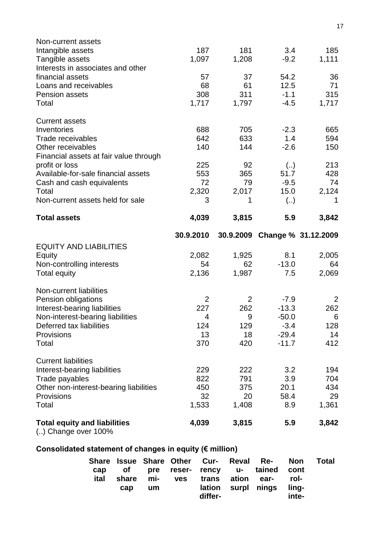| Intangible assets                                           | 187       | 181            | 3.4                           | 185         |
|-------------------------------------------------------------|-----------|----------------|-------------------------------|-------------|
| Tangible assets                                             | 1,097     | 1,208          | $-9.2$                        | 1,111       |
| Interests in associates and other                           |           |                |                               |             |
| financial assets                                            | 57        | 37             | 54.2                          | 36          |
| Loans and receivables                                       | 68        | 61             | 12.5                          | 71          |
| <b>Pension assets</b>                                       | 308       | 311            | $-1.1$                        | 315         |
| Total                                                       | 1,717     | 1,797          | $-4.5$                        | 1,717       |
| <b>Current assets</b>                                       |           |                |                               |             |
| Inventories                                                 | 688       | 705            | $-2.3$                        | 665         |
| Trade receivables                                           | 642       | 633            | 1.4                           | 594         |
| Other receivables<br>Financial assets at fair value through | 140       | 144            | $-2.6$                        | 150         |
| profit or loss                                              | 225       | 92             | $\left(  \right)$             | 213         |
| Available-for-sale financial assets                         | 553       | 365            | 51.7                          | 428         |
| Cash and cash equivalents                                   | 72        | 79             | $-9.5$                        | 74          |
| Total                                                       | 2,320     | 2,017          | 15.0                          | 2,124       |
| Non-current assets held for sale                            | 3         | 1              | $\left( \right)$              | 1           |
| <b>Total assets</b>                                         | 4,039     | 3,815          | 5.9                           | 3,842       |
|                                                             | 30.9.2010 |                | 30.9.2009 Change % 31.12.2009 |             |
| <b>EQUITY AND LIABILITIES</b>                               |           |                |                               |             |
|                                                             |           |                |                               |             |
|                                                             | 2,082     |                | 8.1                           |             |
| Equity                                                      | 54        | 1,925<br>62    | $-13.0$                       | 2,005<br>64 |
| Non-controlling interests<br><b>Total equity</b>            | 2,136     | 1,987          | 7.5                           | 2,069       |
| Non-current liabilities                                     |           |                |                               |             |
| Pension obligations                                         | 2         | $\overline{2}$ | $-7.9$                        | 2           |
| Interest-bearing liabilities                                | 227       | 262            | $-13.3$                       | 262         |
| Non-interest-bearing liabilities                            | 4         | 9              | $-50.0$                       | 6           |
| Deferred tax liabilities                                    | 124       | 129            | $-3.4$                        | 128         |
| Provisions                                                  | 13        | 18             | $-29.4$                       | 14          |
| Total                                                       | 370       | 420            | $-11.7$                       | 412         |
| <b>Current liabilities</b>                                  |           |                |                               |             |
| Interest-bearing liabilities                                | 229       | 222            | 3.2                           | 194         |
| Trade payables                                              | 822       | 791            | 3.9                           | 704         |
| Other non-interest-bearing liabilities                      | 450       | 375            | 20.1                          | 434         |
| Provisions                                                  | 32        | 20             | 58.4                          | 29          |
| Total                                                       | 1,533     | 1,408          | 8.9                           | 1,361       |

# **Consolidated statement of changes in equity (€ million)**

|      |     |    |                                | Share Issue Share Other Cur- Reval Re- Non Total |       |  |
|------|-----|----|--------------------------------|--------------------------------------------------|-------|--|
| cap  |     |    |                                | of pre reser- rency u- tained cont               |       |  |
| ital |     |    | share mi- ves trans ation ear- |                                                  | rol-  |  |
|      | cap | um |                                | lation surpl nings                               | lina- |  |
|      |     |    | differ-                        |                                                  | inte- |  |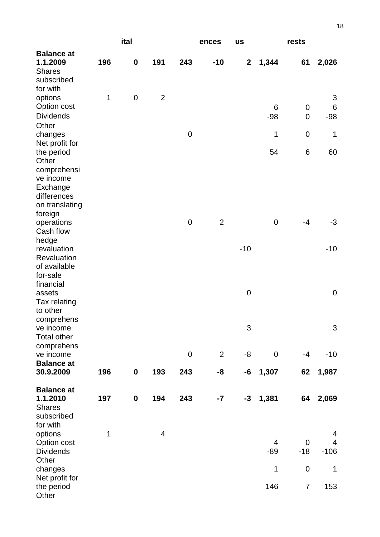|                                                                                                                           |     | ital             |                |             | ences          | <b>us</b>        |                | rests                    |                  |
|---------------------------------------------------------------------------------------------------------------------------|-----|------------------|----------------|-------------|----------------|------------------|----------------|--------------------------|------------------|
| <b>Balance at</b><br>1.1.2009<br><b>Shares</b><br>subscribed                                                              | 196 | $\mathbf 0$      | 191            | 243         | $-10$          | $\boldsymbol{2}$ | 1,344          | 61                       | 2,026            |
| for with<br>options<br>Option cost<br><b>Dividends</b>                                                                    | 1   | $\mathbf 0$      | $\overline{2}$ |             |                |                  | 6<br>$-98$     | $\pmb{0}$<br>$\mathbf 0$ | 3<br>6<br>$-98$  |
| Other<br>changes                                                                                                          |     |                  |                | $\mathbf 0$ |                |                  | 1              | $\mathbf 0$              | 1                |
| Net profit for<br>the period<br>Other<br>comprehensi<br>ve income<br>Exchange<br>differences<br>on translating<br>foreign |     |                  |                |             |                |                  | 54             | 6                        | 60               |
| operations<br>Cash flow                                                                                                   |     |                  |                | $\mathbf 0$ | $\overline{2}$ |                  | $\mathbf 0$    | $-4$                     | $-3$             |
| hedge<br>revaluation<br>Revaluation<br>of available<br>for-sale                                                           |     |                  |                |             |                | $-10$            |                |                          | $-10$            |
| financial<br>assets<br>Tax relating<br>to other                                                                           |     |                  |                |             |                | $\pmb{0}$        |                |                          | $\mathbf 0$      |
| comprehens<br>ve income<br><b>Total other</b>                                                                             |     |                  |                |             |                | 3                |                |                          | 3                |
| comprehens<br>ve income<br><b>Balance at</b>                                                                              |     |                  |                | $\mathbf 0$ | 2              | -8               | $\overline{0}$ | $-4$                     | $-10$            |
| 30.9.2009                                                                                                                 | 196 | $\boldsymbol{0}$ | 193            | 243         | -8             | -6               | 1,307          | 62                       | 1,987            |
| <b>Balance at</b><br>1.1.2010<br><b>Shares</b><br>subscribed<br>for with                                                  | 197 | $\boldsymbol{0}$ | 194            | 243         | $-7$           | $-3$             | 1,381          | 64                       | 2,069            |
| options<br>Option cost<br><b>Dividends</b><br>Other                                                                       | 1   |                  | $\overline{4}$ |             |                |                  | 4<br>$-89$     | $\mathbf 0$<br>$-18$     | 4<br>4<br>$-106$ |
| changes<br>Net profit for                                                                                                 |     |                  |                |             |                |                  | 1              | 0                        | 1                |
| the period<br>Other                                                                                                       |     |                  |                |             |                |                  | 146            | $\overline{7}$           | 153              |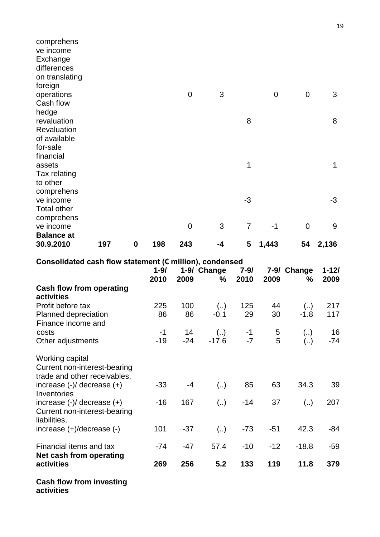| comprehens           |     |                  |     |                |    |                |             |             |             |
|----------------------|-----|------------------|-----|----------------|----|----------------|-------------|-------------|-------------|
| ve income            |     |                  |     |                |    |                |             |             |             |
| Exchange             |     |                  |     |                |    |                |             |             |             |
| differences          |     |                  |     |                |    |                |             |             |             |
| on translating       |     |                  |     |                |    |                |             |             |             |
| foreign              |     |                  |     |                |    |                |             |             |             |
| operations           |     |                  |     | 0              | 3  |                | $\mathbf 0$ | $\mathbf 0$ | 3           |
| Cash flow            |     |                  |     |                |    |                |             |             |             |
| hedge<br>revaluation |     |                  |     |                |    | 8              |             |             | 8           |
| Revaluation          |     |                  |     |                |    |                |             |             |             |
| of available         |     |                  |     |                |    |                |             |             |             |
| for-sale             |     |                  |     |                |    |                |             |             |             |
| financial            |     |                  |     |                |    |                |             |             |             |
| assets               |     |                  |     |                |    | 1              |             |             | $\mathbf 1$ |
| Tax relating         |     |                  |     |                |    |                |             |             |             |
| to other             |     |                  |     |                |    |                |             |             |             |
| comprehens           |     |                  |     |                |    |                |             |             |             |
| ve income            |     |                  |     |                |    | $-3$           |             |             | $-3$        |
| <b>Total other</b>   |     |                  |     |                |    |                |             |             |             |
| comprehens           |     |                  |     |                |    |                |             |             |             |
| ve income            |     |                  |     | $\overline{0}$ | 3  | $\overline{7}$ | $-1$        | $\mathbf 0$ | 9           |
| <b>Balance at</b>    |     |                  |     |                |    |                |             |             |             |
| 30.9.2010            | 197 | $\boldsymbol{0}$ | 198 | 243            | -4 | 5              | 1,443       | 54          | 2,136       |
|                      |     |                  |     |                |    |                |             |             |             |

**Consolidated cash flow statement (€ million), condensed**

| 011001100100 00011 11011 010101110111  C 11111110117, 00110011000 | 1-9/ Change<br>$1 - 9/$<br>$7 - 9/$ |       |                         |       | 7-9/ Change |                   | $1 - 12/$ |
|-------------------------------------------------------------------|-------------------------------------|-------|-------------------------|-------|-------------|-------------------|-----------|
|                                                                   | 2010                                | 2009  | ℅                       | 2010  | 2009        | ℅                 | 2009      |
| <b>Cash flow from operating</b>                                   |                                     |       |                         |       |             |                   |           |
| activities                                                        |                                     |       |                         |       |             |                   |           |
| Profit before tax                                                 | 225                                 | 100   | $\left(  \right)$       | 125   | 44          | $\left(  \right)$ | 217       |
| Planned depreciation                                              | 86                                  | 86    | $-0.1$                  | 29    | 30          | $-1.8$            | 117       |
| Finance income and                                                |                                     |       |                         |       |             |                   |           |
| costs                                                             | $-1$                                | 14    | $\left( \ldots \right)$ | $-1$  | 5           | (.)               | 16        |
| Other adjustments                                                 | $-19$                               | $-24$ | $-17.6$                 | $-7$  | 5           | $\left( \right)$  | $-74$     |
| Working capital                                                   |                                     |       |                         |       |             |                   |           |
| Current non-interest-bearing<br>trade and other receivables,      |                                     |       |                         |       |             |                   |           |
| increase $(-)/$ decrease $(+)$                                    | $-33$                               | -4    | $\left( \right)$        | 85    | 63          | 34.3              | 39        |
| Inventories                                                       |                                     |       |                         |       |             |                   |           |
| increase $(-)/$ decrease $(+)$                                    | $-16$                               | 167   | $\left( \right)$        | $-14$ | 37          | $\left(  \right)$ | 207       |
| Current non-interest-bearing<br>liabilities,                      |                                     |       |                         |       |             |                   |           |
| increase $(+)/$ decrease $(-)$                                    | 101                                 | $-37$ | $\left( \right)$        | $-73$ | $-51$       | 42.3              | $-84$     |
| Financial items and tax                                           | -74                                 | -47   | 57.4                    | $-10$ | $-12$       | $-18.8$           | $-59$     |
| Net cash from operating                                           |                                     |       |                         |       |             |                   |           |
| activities                                                        | 269                                 | 256   | 5.2                     | 133   | 119         | 11.8              | 379       |
| $\mathbf{A}$ and $\mathbf{B}$ are the set of $\mathbf{B}$         |                                     |       |                         |       |             |                   |           |

**Cash flow from investing**

**activities**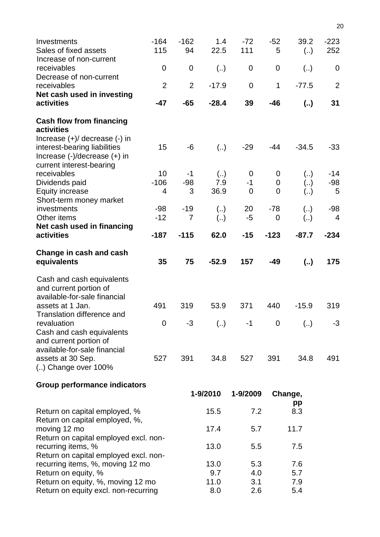| Investments<br>Sales of fixed assets<br>Increase of non-current                                                               | $-164$<br>115                                                             | $-162$<br>94     | 1.4<br>22.5        | $-72$<br>111                | $-52$<br>5               | 39.2<br>(.)              | $-223$<br>252     |
|-------------------------------------------------------------------------------------------------------------------------------|---------------------------------------------------------------------------|------------------|--------------------|-----------------------------|--------------------------|--------------------------|-------------------|
| receivables<br>Decrease of non-current                                                                                        | 0                                                                         | $\mathbf 0$      | $\left(  \right)$  | 0                           | $\mathbf 0$              | (.)                      | $\overline{0}$    |
| receivables                                                                                                                   | $\overline{2}$                                                            | $\overline{2}$   | $-17.9$            | $\overline{0}$              | $\mathbf 1$              | $-77.5$                  | $\overline{2}$    |
| Net cash used in investing<br>activities                                                                                      | $-47$                                                                     | $-65$            | $-28.4$            | 39                          | $-46$                    | (.)                      | 31                |
| <b>Cash flow from financing</b><br>activities                                                                                 |                                                                           |                  |                    |                             |                          |                          |                   |
| Increase $(+)/$ decrease $(-)$ in<br>interest-bearing liabilities<br>Increase (-)/decrease (+) in<br>current interest-bearing | 15                                                                        | -6               | (.)                | $-29$                       | -44                      | $-34.5$                  | $-33$             |
| receivables<br>Dividends paid<br>Equity increase                                                                              | 10<br>$-106$<br>4                                                         | -1<br>$-98$<br>3 | (.)<br>7.9<br>36.9 | 0<br>$-1$<br>$\overline{0}$ | 0<br>0<br>$\overline{0}$ | (.)<br>(.)<br>(.)        | -14<br>$-98$<br>5 |
| Short-term money market<br>investments<br>Other items                                                                         | $-98$<br>$-12$                                                            | $-19$<br>7       | (.)<br>(.)         | 20<br>-5                    | $-78$<br>0               | $\left(  \right)$<br>(.) | $-98$<br>4        |
| Net cash used in financing<br>activities                                                                                      | $-187$                                                                    | $-115$           | 62.0               | $-15$                       | $-123$                   | $-87.7$                  | $-234$            |
| Change in cash and cash<br>equivalents                                                                                        | 35                                                                        | 75               | $-52.9$            | 157                         | $-49$                    | (.)                      | 175               |
| Cash and cash equivalents<br>and current portion of<br>available-for-sale financial                                           |                                                                           |                  |                    |                             |                          |                          |                   |
| assets at 1 Jan.<br>Translation difference and                                                                                | 491                                                                       | 319              | 53.9               | 371                         | 440                      | $-15.9$                  | 319               |
| revaluation<br>Cash and cash equivalents<br>and current portion of                                                            | 0                                                                         | -3               | (.)                | $-1$                        | 0                        | (.)                      | -3                |
| available-for-sale financial<br>assets at 30 Sep.<br>$\ldots$ ) Change over 100%                                              | 527                                                                       | 391              | 34.8               | 527                         | 391                      | 34.8                     | 491               |
| <b>Group performance indicators</b>                                                                                           |                                                                           |                  |                    |                             |                          |                          |                   |
|                                                                                                                               |                                                                           |                  | 1-9/2010           | 1-9/2009                    |                          | Change,<br>pp            |                   |
| Return on capital employed, %<br>Return on capital employed, %,                                                               |                                                                           |                  | 15.5               | 7.2                         |                          | 8.3                      |                   |
| moving 12 mo                                                                                                                  |                                                                           |                  | 17.4               | 5.7                         |                          | 11.7                     |                   |
| Return on capital employed excl. non-<br>recurring items, %                                                                   |                                                                           |                  | 13.0               | 5.5                         |                          | 7.5                      |                   |
|                                                                                                                               | Return on capital employed excl. non-<br>recurring items, %, moving 12 mo |                  | 13.0               | 5.3                         |                          | 7.6                      |                   |
| Return on equity, %<br>Return on equity, %, moving 12 mo                                                                      |                                                                           |                  | 9.7<br>11.0        | 4.0<br>3.1                  |                          | 5.7<br>7.9               |                   |
| Return on equity excl. non-recurring                                                                                          |                                                                           |                  | 8.0                | 2.6                         |                          | 5.4                      |                   |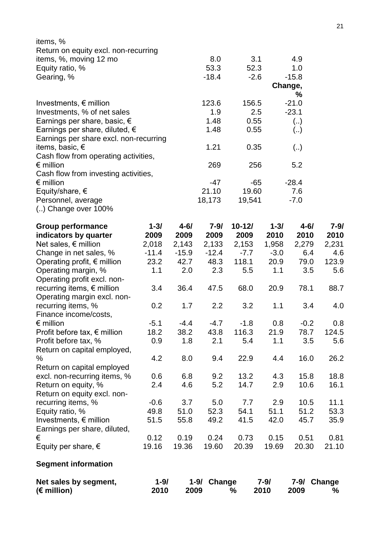| Net sales by segment,<br>$(\epsilon$ million)                                    | $1 - 9/$<br>2010 | 2009           | 1-9/ Change    | ℅            | $7 - 9/$<br>2010 | 2009                    | 7-9/ Change<br>℅ |
|----------------------------------------------------------------------------------|------------------|----------------|----------------|--------------|------------------|-------------------------|------------------|
| <b>Segment information</b>                                                       |                  |                |                |              |                  |                         |                  |
| Equity per share, $\epsilon$                                                     | 19.16            | 19.36          | 19.60          | 20.39        | 19.69            | 20.30                   | 21.10            |
| €                                                                                | 0.12             | 0.19           | 0.24           | 0.73         | 0.15             | 0.51                    | 0.81             |
| Earnings per share, diluted,                                                     |                  |                |                |              |                  |                         |                  |
| Investments, $\epsilon$ million                                                  | 51.5             | 55.8           | 49.2           | 41.5         | 42.0             | 45.7                    | 35.9             |
| recurring items, %<br>Equity ratio, %                                            | 49.8             | 51.0           | 52.3           | 54.1         | 51.1             | 51.2                    | 53.3             |
| Return on equity excl. non-                                                      | $-0.6$           | 3.7            | 5.0            | 7.7          | 2.9              | 10.5                    | 11.1             |
| Return on equity, %                                                              | 2.4              | 4.6            | 5.2            | 14.7         | 2.9              | 10.6                    |                  |
| excl. non-recurring items, %                                                     | 0.6              | 6.8            | 9.2            | 13.2         | 4.3              | 15.8                    | 18.8<br>16.1     |
| Return on capital employed                                                       |                  |                |                |              |                  |                         |                  |
| ℅                                                                                | 4.2              | 8.0            | 9.4            | 22.9         | 4.4              | 16.0                    | 26.2             |
| Return on capital employed,                                                      |                  |                |                |              |                  |                         |                  |
| Profit before tax, %                                                             |                  |                |                |              | 1.1              | 3.5                     |                  |
|                                                                                  | 0.9              | 1.8            | 2.1            | 116.3<br>5.4 | 21.9             |                         | 5.6              |
| $\epsilon$ million<br>Profit before tax, $\epsilon$ million                      | $-5.1$<br>18.2   | $-4.4$<br>38.2 | $-4.7$<br>43.8 | $-1.8$       | 0.8              | $-0.2$<br>78.7          | 0.8<br>124.5     |
| Finance income/costs,                                                            |                  |                |                |              |                  |                         |                  |
| recurring items, %                                                               | 0.2              | 1.7            | 2.2            | 3.2          | 1.1              | 3.4                     | 4.0              |
| Operating margin excl. non-                                                      |                  |                |                |              |                  |                         |                  |
| recurring items, € million                                                       | 3.4              | 36.4           | 47.5           | 68.0         | 20.9             | 78.1                    | 88.7             |
| Operating profit excl. non-                                                      |                  |                |                |              |                  |                         |                  |
| Operating margin, %                                                              | 1.1              | 2.0            | 2.3            | 5.5          | 1.1              | 3.5                     | 5.6              |
| Operating profit, $\epsilon$ million                                             | 23.2             | 42.7           | 48.3           | 118.1        | 20.9             | 79.0                    | 123.9            |
| Change in net sales, %                                                           | $-11.4$          | $-15.9$        | $-12.4$        | $-7.7$       | $-3.0$           | 6.4                     | 4.6              |
| Net sales, $\epsilon$ million                                                    | 2,018            | 2,143          | 2,133          | 2,153        | 1,958            | 2,279                   | 2,231            |
| indicators by quarter                                                            | 2009             | 2009           | 2009           | 2009         | 2010             | 2010                    | 2010             |
| <b>Group performance</b>                                                         | $1 - 3/$         | $4 - 6/$       | $7 - 9/$       | $10 - 12/$   | $1 - 3/$         | $4 - 6/$                | $7 - 9/$         |
|                                                                                  |                  |                |                |              |                  |                         |                  |
| () Change over 100%                                                              |                  |                |                |              |                  |                         |                  |
| Personnel, average                                                               |                  |                | 18,173         | 19,541       |                  | $-7.0$                  |                  |
| Equity/share, $\epsilon$                                                         |                  |                | 21.10          | 19.60        |                  | 7.6                     |                  |
| $\epsilon$ million                                                               |                  |                | $-47$          | -65          |                  | $-28.4$                 |                  |
| Cash flow from investing activities,                                             |                  |                |                |              |                  |                         |                  |
| $\epsilon$ million                                                               |                  |                | 269            | 256          |                  | 5.2                     |                  |
| Cash flow from operating activities,                                             |                  |                |                |              |                  |                         |                  |
| items, basic, $\epsilon$                                                         |                  |                | 1.21           | 0.35         |                  | (.)                     |                  |
| Earnings per share excl. non-recurring                                           |                  |                |                |              |                  | $\left( \ldots \right)$ |                  |
| Earnings per share, basic, $\epsilon$<br>Earnings per share, diluted, $\epsilon$ |                  |                | 1.48<br>1.48   | 0.55<br>0.55 |                  | (.)                     |                  |
| Investments, % of net sales                                                      |                  |                |                |              |                  |                         |                  |
| Investments, $\epsilon$ million                                                  |                  |                | 123.6<br>1.9   | 156.5<br>2.5 |                  | $-21.0$<br>$-23.1$      |                  |
|                                                                                  |                  |                |                |              |                  | %                       |                  |
|                                                                                  |                  |                |                |              |                  | Change,                 |                  |
| Gearing, %                                                                       |                  |                | $-18.4$        | $-2.6$       |                  | $-15.8$                 |                  |
| Equity ratio, %                                                                  |                  |                | 53.3           | 52.3         |                  | 1.0                     |                  |
| items, %, moving 12 mo                                                           |                  |                | 8.0            | 3.1          |                  | 4.9                     |                  |
| Return on equity excl. non-recurring                                             |                  |                |                |              |                  |                         |                  |
| items, %                                                                         |                  |                |                |              |                  |                         |                  |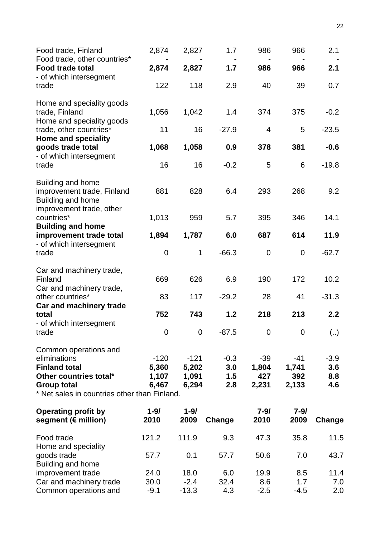| Food trade, Finland<br>Food trade, other countries*                                                                                                           | 2,874                             | 2,827                             | 1.7                         | 986                            | 966                            | 2.1                         |
|---------------------------------------------------------------------------------------------------------------------------------------------------------------|-----------------------------------|-----------------------------------|-----------------------------|--------------------------------|--------------------------------|-----------------------------|
| <b>Food trade total</b><br>- of which intersegment                                                                                                            | 2,874                             | 2,827                             | 1.7                         | 986                            | 966                            | 2.1                         |
| trade                                                                                                                                                         | 122                               | 118                               | 2.9                         | 40                             | 39                             | 0.7                         |
| Home and speciality goods<br>trade, Finland<br>Home and speciality goods                                                                                      | 1,056                             | 1,042                             | 1.4                         | 374                            | 375                            | $-0.2$                      |
| trade, other countries*<br><b>Home and speciality</b>                                                                                                         | 11                                | 16                                | $-27.9$                     | 4                              | 5                              | $-23.5$                     |
| goods trade total<br>- of which intersegment                                                                                                                  | 1,068                             | 1,058                             | 0.9                         | 378                            | 381                            | $-0.6$                      |
| trade                                                                                                                                                         | 16                                | 16                                | $-0.2$                      | 5                              | 6                              | $-19.8$                     |
| <b>Building and home</b><br>improvement trade, Finland<br>Building and home<br>improvement trade, other                                                       | 881                               | 828                               | 6.4                         | 293                            | 268                            | 9.2                         |
| countries*                                                                                                                                                    | 1,013                             | 959                               | 5.7                         | 395                            | 346                            | 14.1                        |
| <b>Building and home</b><br>improvement trade total                                                                                                           | 1,894                             | 1,787                             | 6.0                         | 687                            | 614                            | 11.9                        |
| - of which intersegment<br>trade                                                                                                                              | 0                                 | $\mathbf 1$                       | $-66.3$                     | $\mathbf 0$                    | $\mathbf 0$                    | $-62.7$                     |
| Car and machinery trade,<br>Finland<br>Car and machinery trade,                                                                                               | 669                               | 626                               | 6.9                         | 190                            | 172                            | 10.2                        |
| other countries*                                                                                                                                              | 83                                | 117                               | $-29.2$                     | 28                             | 41                             | $-31.3$                     |
| Car and machinery trade<br>total<br>- of which intersegment                                                                                                   | 752                               | 743                               | 1.2                         | 218                            | 213                            | 2.2                         |
| trade                                                                                                                                                         | $\mathbf 0$                       | $\overline{0}$                    | $-87.5$                     | $\mathbf 0$                    | $\boldsymbol{0}$               | (.)                         |
| Common operations and<br>eliminations<br><b>Finland total</b><br>Other countries total*<br><b>Group total</b><br>* Net sales in countries other than Finland. | $-120$<br>5,360<br>1,107<br>6,467 | $-121$<br>5,202<br>1,091<br>6,294 | $-0.3$<br>3.0<br>1.5<br>2.8 | $-39$<br>1,804<br>427<br>2,231 | $-41$<br>1,741<br>392<br>2,133 | $-3.9$<br>3.6<br>8.8<br>4.6 |
| <b>Operating profit by</b><br>segment (€ million)                                                                                                             | $1 - 9/$<br>2010                  | $1 - 9/$<br>2009                  | Change                      | $7 - 9/$<br>2010               | $7 - 9/$<br>2009               | Change                      |
| Food trade<br>Home and speciality                                                                                                                             | 121.2                             | 111.9                             | 9.3                         | 47.3                           | 35.8                           | 11.5                        |
| goods trade<br>Building and home                                                                                                                              | 57.7                              | 0.1                               | 57.7                        | 50.6                           | 7.0                            | 43.7                        |
| improvement trade                                                                                                                                             | 24.0                              | 18.0                              | 6.0                         | 19.9                           | 8.5                            | 11.4                        |
| Car and machinery trade                                                                                                                                       | 30.0                              | $-2.4$                            | 32.4                        | 8.6                            | 1.7                            | 7.0                         |
| Common operations and                                                                                                                                         | $-9.1$                            | $-13.3$                           | 4.3                         | $-2.5$                         | $-4.5$                         | 2.0                         |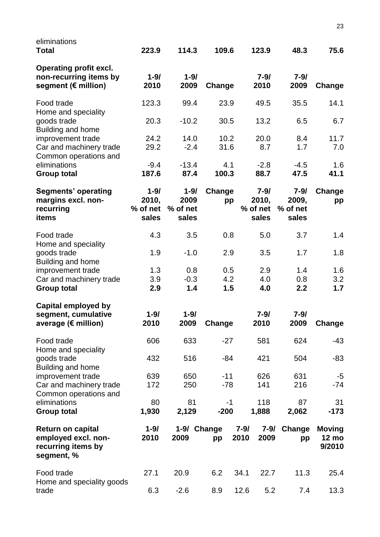| eliminations<br><b>Total</b>                                                        | 223.9                                  | 114.3                                 | 109.6             | 123.9                                  | 48.3                                   | 75.6                                    |
|-------------------------------------------------------------------------------------|----------------------------------------|---------------------------------------|-------------------|----------------------------------------|----------------------------------------|-----------------------------------------|
| <b>Operating profit excl.</b><br>non-recurring items by<br>segment (€ million)      | $1 - 9/$<br>2010                       | $1 - 9/$<br>2009                      | Change            | $7 - 9/$<br>2010                       | $7 - 9/$<br>2009                       | Change                                  |
| Food trade                                                                          | 123.3                                  | 99.4                                  | 23.9              | 49.5                                   | 35.5                                   | 14.1                                    |
| Home and speciality<br>goods trade<br>Building and home                             | 20.3                                   | $-10.2$                               | 30.5              | 13.2                                   | 6.5                                    | 6.7                                     |
| improvement trade<br>Car and machinery trade<br>Common operations and               | 24.2<br>29.2                           | 14.0<br>$-2.4$                        | 10.2<br>31.6      | 20.0<br>8.7                            | 8.4<br>1.7                             | 11.7<br>7.0                             |
| eliminations<br><b>Group total</b>                                                  | $-9.4$<br>187.6                        | $-13.4$<br>87.4                       | 4.1<br>100.3      | $-2.8$<br>88.7                         | $-4.5$<br>47.5                         | 1.6<br>41.1                             |
| <b>Segments' operating</b><br>margins excl. non-<br>recurring<br>items              | $1 - 9/$<br>2010,<br>% of net<br>sales | $1 - 9/$<br>2009<br>% of net<br>sales | Change<br>pp      | $7 - 9/$<br>2010,<br>% of net<br>sales | $7 - 9/$<br>2009,<br>% of net<br>sales | Change<br>pp                            |
| Food trade<br>Home and speciality                                                   | 4.3                                    | 3.5                                   | 0.8               | 5.0                                    | 3.7                                    | 1.4                                     |
| goods trade<br>Building and home                                                    | 1.9                                    | $-1.0$                                | 2.9               | 3.5                                    | 1.7                                    | 1.8                                     |
| improvement trade                                                                   | 1.3                                    | 0.8                                   | 0.5               | 2.9                                    | 1.4                                    | 1.6                                     |
| Car and machinery trade<br><b>Group total</b>                                       | 3.9<br>2.9                             | $-0.3$<br>1.4                         | 4.2<br>1.5        | 4.0<br>4.0                             | 0.8<br>2.2                             | 3.2<br>1.7                              |
| <b>Capital employed by</b><br>segment, cumulative<br>average (€ million)            | $1 - 9/$<br>2010                       | $1 - 9/$<br>2009                      | Change            | $7 - 9/$<br>2010                       | $7 - 9/$<br>2009                       | Change                                  |
| Food trade                                                                          | 606                                    | 633                                   | $-27$             | 581                                    | 624                                    | -43                                     |
| Home and speciality<br>goods trade<br>Building and home                             | 432                                    | 516                                   | $-84$             | 421                                    | 504                                    | -83                                     |
| improvement trade<br>Car and machinery trade<br>Common operations and               | 639<br>172                             | 650<br>250                            | $-11$<br>$-78$    | 626<br>141                             | 631<br>216                             | $-5$<br>$-74$                           |
| eliminations<br><b>Group total</b>                                                  | 80<br>1,930                            | 81<br>2,129                           | $-1$<br>$-200$    | 118<br>1,888                           | 87<br>2,062                            | 31<br>$-173$                            |
| <b>Return on capital</b><br>employed excl. non-<br>recurring items by<br>segment, % | $1 - 9/$<br>2010                       | 2009                                  | 1-9/ Change<br>pp | $7 - 9/$<br>$7 - 9/$<br>2009<br>2010   | Change<br>pp                           | <b>Moving</b><br><b>12 mo</b><br>9/2010 |
| Food trade                                                                          | 27.1                                   | 20.9                                  | 6.2               | 34.1<br>22.7                           | 11.3                                   | 25.4                                    |
| Home and speciality goods<br>trade                                                  | 6.3                                    | $-2.6$                                | 8.9               | 12.6<br>5.2                            | 7.4                                    | 13.3                                    |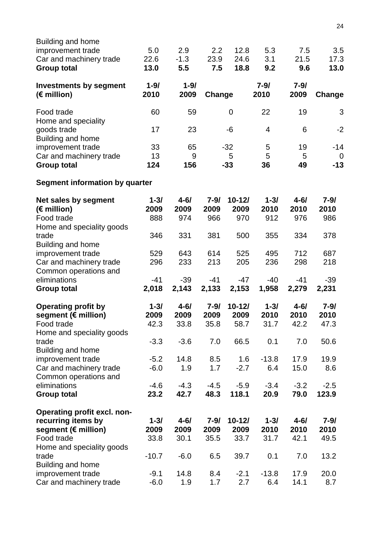| Building and home<br>improvement trade<br>Car and machinery trade<br><b>Group total</b> | 5.0<br>22.6<br>13.0 | 2.9<br>$-1.3$<br>5.5 | 2.2<br>23.9<br>7.5 | 12.8<br>24.6<br>18.8 | 5.3<br>3.1<br>9.2 | 7.5<br>21.5<br>9.6 | 3.5<br>17.3<br>13.0  |
|-----------------------------------------------------------------------------------------|---------------------|----------------------|--------------------|----------------------|-------------------|--------------------|----------------------|
| <b>Investments by segment</b><br>$(E$ million)                                          | $1 - 9/$<br>2010    | $1 - 9/$<br>2009     | Change             |                      | $7 - 9/$<br>2010  | $7 - 9/$<br>2009   | Change               |
| Food trade<br>Home and speciality                                                       | 60                  | 59                   |                    | $\mathbf 0$          | 22                | 19                 | 3                    |
| goods trade<br>Building and home                                                        | 17                  | 23                   |                    | -6                   | 4                 | 6                  | $-2$                 |
| improvement trade                                                                       | 33                  | 65                   |                    | $-32$                | 5                 | 19                 | $-14$                |
| Car and machinery trade<br><b>Group total</b>                                           | 13<br>124           | 9<br>156             |                    | 5<br>$-33$           | 5<br>36           | 5<br>49            | $\mathbf 0$<br>$-13$ |
| <b>Segment information by quarter</b>                                                   |                     |                      |                    |                      |                   |                    |                      |
| <b>Net sales by segment</b><br>(€ million)                                              | $1 - 3/$<br>2009    | $4 - 6/$<br>2009     | $7 - 9/$<br>2009   | $10 - 12/$<br>2009   | $1 - 3/$<br>2010  | $4 - 6/$<br>2010   | $7 - 9/$<br>2010     |
| Food trade                                                                              | 888                 | 974                  | 966                | 970                  | 912               | 976                | 986                  |
| Home and speciality goods<br>trade<br>Building and home                                 | 346                 | 331                  | 381                | 500                  | 355               | 334                | 378                  |
| improvement trade                                                                       | 529                 | 643                  | 614                | 525                  | 495               | 712                | 687                  |
| Car and machinery trade<br>Common operations and                                        | 296                 | 233                  | 213                | 205                  | 236               | 298                | 218                  |
| eliminations                                                                            | $-41$               | $-39$                | $-41$              | -47                  | -40               | $-41$              | $-39$                |
| <b>Group total</b>                                                                      | 2,018               | 2,143                | 2,133              | 2,153                | 1,958             | 2,279              | 2,231                |
| <b>Operating profit by</b>                                                              | $1 - 3/$            | $4 - 6/$             | $7 - 9/$           | $10 - 12/$           | $1 - 3/$          | $4 - 6/$           | $7 - 9/$             |
| segment (€ million)                                                                     | 2009                | 2009                 | 2009               | 2009                 | 2010              | 2010               | 2010                 |
| Food trade<br>Home and speciality goods                                                 | 42.3                | 33.8                 | 35.8               | 58.7                 | 31.7              | 42.2               | 47.3                 |
| trade<br>Building and home                                                              | $-3.3$              | $-3.6$               | 7.0                | 66.5                 | 0.1               | 7.0                | 50.6                 |
| improvement trade                                                                       | $-5.2$              | 14.8                 | 8.5                | 1.6                  | $-13.8$           | 17.9               | 19.9                 |
| Car and machinery trade<br>Common operations and                                        | $-6.0$              | 1.9                  | 1.7                | $-2.7$               | 6.4               | 15.0               | 8.6                  |
| eliminations<br><b>Group total</b>                                                      | $-4.6$<br>23.2      | $-4.3$<br>42.7       | $-4.5$<br>48.3     | $-5.9$<br>118.1      | $-3.4$<br>20.9    | $-3.2$<br>79.0     | $-2.5$<br>123.9      |
|                                                                                         |                     |                      |                    |                      |                   |                    |                      |
| Operating profit excl. non-                                                             |                     |                      |                    |                      |                   |                    |                      |
| recurring items by                                                                      | $1 - 3/$            | $4 - 6/$             | $7 - 9/$           | $10 - 12/$           | $1 - 3/$          | $4 - 6/$           | $7 - 9/$             |
| segment (€ million)<br>Food trade                                                       | 2009<br>33.8        | 2009<br>30.1         | 2009<br>35.5       | 2009<br>33.7         | 2010<br>31.7      | 2010<br>42.1       | 2010<br>49.5         |
| Home and speciality goods                                                               |                     |                      |                    |                      |                   |                    |                      |
| trade<br><b>Building and home</b>                                                       | $-10.7$             | $-6.0$               | 6.5                | 39.7                 | 0.1               | 7.0                | 13.2                 |
| improvement trade                                                                       | $-9.1$              | 14.8                 | 8.4                | $-2.1$               | $-13.8$           | 17.9               | 20.0                 |
| Car and machinery trade                                                                 | $-6.0$              | 1.9                  | 1.7                | 2.7                  | 6.4               | 14.1               | 8.7                  |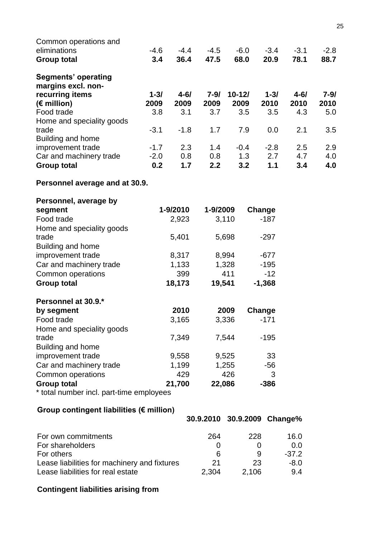| Common operations and                        |             |             |                             |             |             |             |             |
|----------------------------------------------|-------------|-------------|-----------------------------|-------------|-------------|-------------|-------------|
| eliminations                                 | $-4.6$      | $-4.4$      | $-4.5$                      | $-6.0$      | $-3.4$      | $-3.1$      | $-2.8$      |
| <b>Group total</b>                           | 3.4         | 36.4        | 47.5                        | 68.0        | 20.9        | 78.1        | 88.7        |
| <b>Segments' operating</b>                   |             |             |                             |             |             |             |             |
| margins excl. non-                           |             |             |                             |             |             |             |             |
| recurring items                              | $1 - 3/$    | $4 - 6/$    | $7 - 9/$                    | $10 - 12/$  | $1 - 3/$    | $4 - 6/$    | $7 - 9/$    |
| $(E \text{ million})$<br>Food trade          | 2009<br>3.8 | 2009<br>3.1 | 2009<br>3.7                 | 2009<br>3.5 | 2010<br>3.5 | 2010<br>4.3 | 2010<br>5.0 |
| Home and speciality goods                    |             |             |                             |             |             |             |             |
| trade                                        | $-3.1$      | $-1.8$      | 1.7                         | 7.9         | 0.0         | 2.1         | 3.5         |
| Building and home                            |             |             |                             |             |             |             |             |
| improvement trade                            | $-1.7$      | 2.3         | 1.4                         | $-0.4$      | $-2.8$      | 2.5         | 2.9         |
| Car and machinery trade                      | $-2.0$      | 0.8         | 0.8                         | 1.3         | 2.7         | 4.7         | 4.0         |
| <b>Group total</b>                           | 0.2         | 1.7         | 2.2                         | 3.2         | 1.1         | 3.4         | 4.0         |
|                                              |             |             |                             |             |             |             |             |
| Personnel average and at 30.9.               |             |             |                             |             |             |             |             |
| Personnel, average by                        |             |             |                             |             |             |             |             |
| segment                                      |             | 1-9/2010    | 1-9/2009                    |             | Change      |             |             |
| Food trade                                   |             | 2,923       |                             | 3,110       | $-187$      |             |             |
| Home and speciality goods                    |             |             |                             |             |             |             |             |
| trade                                        |             | 5,401       |                             | 5,698       | $-297$      |             |             |
| Building and home                            |             |             |                             |             |             |             |             |
| improvement trade                            |             | 8,317       |                             | 8,994       | $-677$      |             |             |
| Car and machinery trade                      |             | 1,133       |                             | 1,328       | $-195$      |             |             |
| Common operations                            |             | 399         |                             | 411         | $-12$       |             |             |
| <b>Group total</b>                           |             | 18,173      | 19,541                      |             | $-1,368$    |             |             |
|                                              |             |             |                             |             |             |             |             |
| Personnel at 30.9.*                          |             |             |                             |             |             |             |             |
| by segment                                   |             | 2010        |                             | 2009        | Change      |             |             |
| Food trade                                   |             | 3,165       |                             | 3,336       | $-171$      |             |             |
| Home and speciality goods                    |             |             |                             |             |             |             |             |
| trade                                        |             | 7,349       |                             | 7,544       | $-195$      |             |             |
| Building and home                            |             |             |                             |             |             |             |             |
| improvement trade                            |             | 9,558       |                             | 9,525       | 33          |             |             |
| Car and machinery trade                      |             | 1,199       |                             | 1,255       | $-56$       |             |             |
| Common operations                            |             | 429         |                             | 426         | 3           |             |             |
| <b>Group total</b>                           |             | 21,700      |                             | 22,086      | $-386$      |             |             |
| * total number incl. part-time employees     |             |             |                             |             |             |             |             |
| Group contingent liabilities (€ million)     |             |             |                             |             |             |             |             |
|                                              |             |             | 30.9.2010 30.9.2009 Change% |             |             |             |             |
| For own commitments                          |             |             | 264                         |             | 228         | 16.0        |             |
| For shareholders                             |             |             | 0                           |             | 0           | 0.0         |             |
| For others                                   |             |             | 6                           |             | 9           | $-37.2$     |             |
| Lease liabilities for machinery and fixtures |             |             | 21                          |             | 23          | $-8.0$      |             |
| Lease liabilities for real estate            |             |             | 2,304                       |             | 2,106       | 9.4         |             |
|                                              |             |             |                             |             |             |             |             |
| <b>Contingent liabilities arising from</b>   |             |             |                             |             |             |             |             |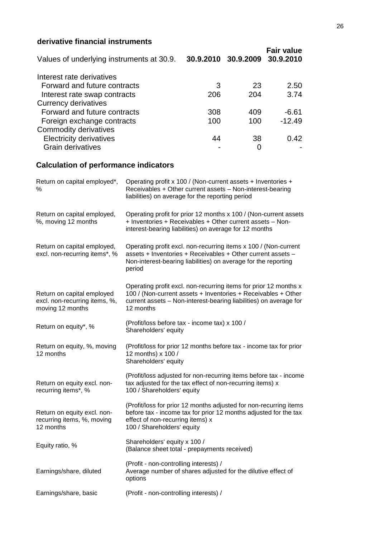## **derivative financial instruments**

| Values of underlying instruments at 30.9. |     | 30.9.2010 30.9.2009 | <b>Fair value</b><br>30.9.2010 |
|-------------------------------------------|-----|---------------------|--------------------------------|
| Interest rate derivatives                 |     |                     |                                |
| Forward and future contracts              | 3   | -23                 | 2.50                           |
| Interest rate swap contracts              | 206 | 204                 | 3.74                           |
| <b>Currency derivatives</b>               |     |                     |                                |
| Forward and future contracts              | 308 | 409                 | $-6.61$                        |
| Foreign exchange contracts                | 100 | 100                 | $-12.49$                       |
| Commodity derivatives                     |     |                     |                                |
| <b>Electricity derivatives</b>            | 44  | 38                  | 0.42                           |
| <b>Grain derivatives</b>                  |     | 0                   |                                |

# **Calculation of performance indicators**

| Return on capital employed*,<br>%                                               | Operating profit x 100 / (Non-current assets + Inventories +<br>Receivables + Other current assets - Non-interest-bearing<br>liabilities) on average for the reporting period                                       |
|---------------------------------------------------------------------------------|---------------------------------------------------------------------------------------------------------------------------------------------------------------------------------------------------------------------|
| Return on capital employed,<br>%, moving 12 months                              | Operating profit for prior 12 months x 100 / (Non-current assets<br>+ Inventories + Receivables + Other current assets - Non-<br>interest-bearing liabilities) on average for 12 months                             |
| Return on capital employed,<br>excl. non-recurring items*, %                    | Operating profit excl. non-recurring items x 100 / (Non-current<br>assets + Inventories + Receivables + Other current assets -<br>Non-interest-bearing liabilities) on average for the reporting<br>period          |
| Return on capital employed<br>excl. non-recurring items, %,<br>moving 12 months | Operating profit excl. non-recurring items for prior 12 months x<br>100 / (Non-current assets + Inventories + Receivables + Other<br>current assets - Non-interest-bearing liabilities) on average for<br>12 months |
| Return on equity*, %                                                            | (Profit/loss before tax - income tax) x 100 /<br>Shareholders' equity                                                                                                                                               |
| Return on equity, %, moving<br>12 months                                        | (Profit/loss for prior 12 months before tax - income tax for prior<br>12 months) x 100 /<br>Shareholders' equity                                                                                                    |
| Return on equity excl. non-<br>recurring items*, %                              | (Profit/loss adjusted for non-recurring items before tax - income<br>tax adjusted for the tax effect of non-recurring items) x<br>100 / Shareholders' equity                                                        |
| Return on equity excl. non-<br>recurring items, %, moving<br>12 months          | (Profit/loss for prior 12 months adjusted for non-recurring items<br>before tax - income tax for prior 12 months adjusted for the tax<br>effect of non-recurring items) x<br>100 / Shareholders' equity             |
| Equity ratio, %                                                                 | Shareholders' equity x 100 /<br>(Balance sheet total - prepayments received)                                                                                                                                        |
| Earnings/share, diluted                                                         | (Profit - non-controlling interests) /<br>Average number of shares adjusted for the dilutive effect of<br>options                                                                                                   |
| Earnings/share, basic                                                           | (Profit - non-controlling interests) /                                                                                                                                                                              |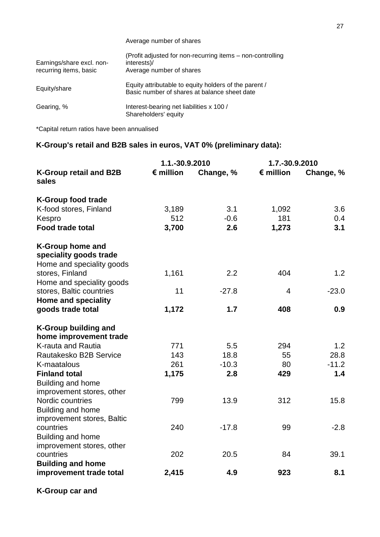|                                                     | Average number of shares                                                                              |  |  |  |
|-----------------------------------------------------|-------------------------------------------------------------------------------------------------------|--|--|--|
| Earnings/share excl. non-<br>recurring items, basic | (Profit adjusted for non-recurring items - non-controlling<br>interests)/<br>Average number of shares |  |  |  |
| Equity/share                                        | Equity attributable to equity holders of the parent /<br>Basic number of shares at balance sheet date |  |  |  |
| Gearing, %                                          | Interest-bearing net liabilities x 100 /<br>Shareholders' equity                                      |  |  |  |

\*Capital return ratios have been annualised

# **K-Group's retail and B2B sales in euros, VAT 0% (preliminary data):**

|                                                                                | 1.1.-30.9.2010     |           |                    | 1.7.-30.9.2010 |  |
|--------------------------------------------------------------------------------|--------------------|-----------|--------------------|----------------|--|
| <b>K-Group retail and B2B</b><br>sales                                         | $\epsilon$ million | Change, % | $\epsilon$ million | Change, %      |  |
| <b>K-Group food trade</b>                                                      |                    |           |                    |                |  |
| K-food stores, Finland                                                         | 3,189              | 3.1       | 1,092              | 3.6            |  |
| Kespro                                                                         | 512                | $-0.6$    | 181                | 0.4            |  |
| <b>Food trade total</b>                                                        | 3,700              | 2.6       | 1,273              | 3.1            |  |
| <b>K-Group home and</b><br>speciality goods trade<br>Home and speciality goods |                    |           |                    |                |  |
| stores, Finland                                                                | 1,161              | 2.2       | 404                | 1.2            |  |
| Home and speciality goods                                                      |                    |           |                    |                |  |
| stores, Baltic countries                                                       | 11                 | $-27.8$   | $\overline{4}$     | $-23.0$        |  |
| <b>Home and speciality</b>                                                     |                    |           |                    |                |  |
| goods trade total                                                              | 1,172              | 1.7       | 408                | 0.9            |  |
| <b>K-Group building and</b><br>home improvement trade                          |                    |           |                    |                |  |
| K-rauta and Rautia                                                             | 771                | 5.5       | 294                | 1.2            |  |
| Rautakesko B2B Service                                                         | 143                | 18.8      | 55                 | 28.8           |  |
| K-maatalous                                                                    | 261                | $-10.3$   | 80                 | $-11.2$        |  |
| <b>Finland total</b>                                                           | 1,175              | 2.8       | 429                | 1.4            |  |
| Building and home<br>improvement stores, other                                 |                    |           |                    |                |  |
| Nordic countries<br>Building and home                                          | 799                | 13.9      | 312                | 15.8           |  |
| improvement stores, Baltic                                                     |                    |           |                    |                |  |
| countries                                                                      | 240                | $-17.8$   | 99                 | $-2.8$         |  |
| Building and home                                                              |                    |           |                    |                |  |
| improvement stores, other                                                      |                    |           |                    |                |  |
| countries                                                                      | 202                | 20.5      | 84                 | 39.1           |  |
| <b>Building and home</b>                                                       |                    |           |                    |                |  |
| improvement trade total                                                        | 2,415              | 4.9       | 923                | 8.1            |  |
|                                                                                |                    |           |                    |                |  |

**K-Group car and**